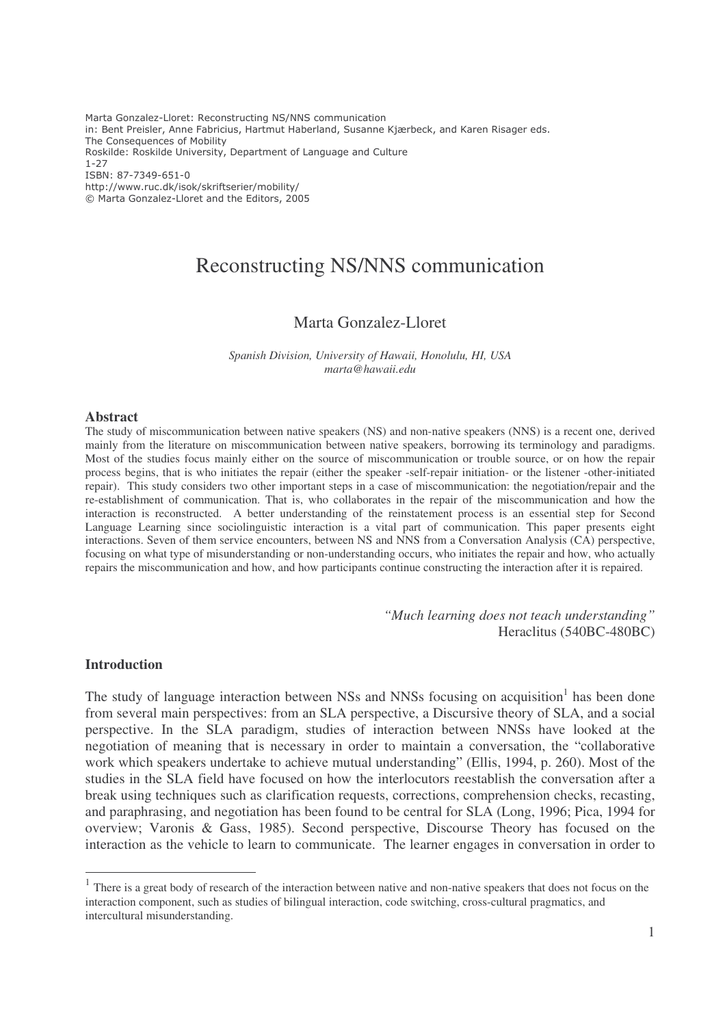Marta Gonzalez-Lloret: Reconstructing NS/NNS communication in: Bent Preisler, Anne Fabricius, Hartmut Haberland, Susanne Kjærbeck, and Karen Risager eds. The Consequences of Mobility Roskilde: Roskilde University, Department of Language and Culture  $1 - 27$ ISBN: 87-7349-651-0 http://www.ruc.dk/isok/skriftserier/mobility/ © Marta Gonzalez-Lloret and the Editors, 2005

# Reconstructing NS/NNS communication

# Marta Gonzalez-Lloret

*Spanish Division, University of Hawaii, Honolulu, HI, USA marta@hawaii.edu*

#### **Abstract**

The study of miscommunication between native speakers (NS) and non-native speakers (NNS) is a recent one, derived mainly from the literature on miscommunication between native speakers, borrowing its terminology and paradigms. Most of the studies focus mainly either on the source of miscommunication or trouble source, or on how the repair process begins, that is who initiates the repair (either the speaker -self-repair initiation- or the listener -other-initiated repair). This study considers two other important steps in a case of miscommunication: the negotiation/repair and the re-establishment of communication. That is, who collaborates in the repair of the miscommunication and how the interaction is reconstructed. A better understanding of the reinstatement process is an essential step for Second Language Learning since sociolinguistic interaction is a vital part of communication. This paper presents eight interactions. Seven of them service encounters, between NS and NNS from a Conversation Analysis (CA) perspective, focusing on what type of misunderstanding or non-understanding occurs, who initiates the repair and how, who actually repairs the miscommunication and how, and how participants continue constructing the interaction after it is repaired.

> *"Much learning does not teach understanding"* Heraclitus (540BC-480BC)

## **Introduction**

The study of language interaction between NSs and NNSs focusing on acquisition<sup>1</sup> has been done from several main perspectives: from an SLA perspective, a Discursive theory of SLA, and a social perspective. In the SLA paradigm, studies of interaction between NNSs have looked at the negotiation of meaning that is necessary in order to maintain a conversation, the "collaborative work which speakers undertake to achieve mutual understanding" (Ellis, 1994, p. 260). Most of the studies in the SLA field have focused on how the interlocutors reestablish the conversation after a break using techniques such as clarification requests, corrections, comprehension checks, recasting, and paraphrasing, and negotiation has been found to be central for SLA (Long, 1996; Pica, 1994 for overview; Varonis & Gass, 1985). Second perspective, Discourse Theory has focused on the interaction as the vehicle to learn to communicate. The learner engages in conversation in order to

<sup>&</sup>lt;sup>1</sup> There is a great body of research of the interaction between native and non-native speakers that does not focus on the interaction component, such as studies of bilingual interaction, code switching, cross-cultural pragmatics, and intercultural misunderstanding.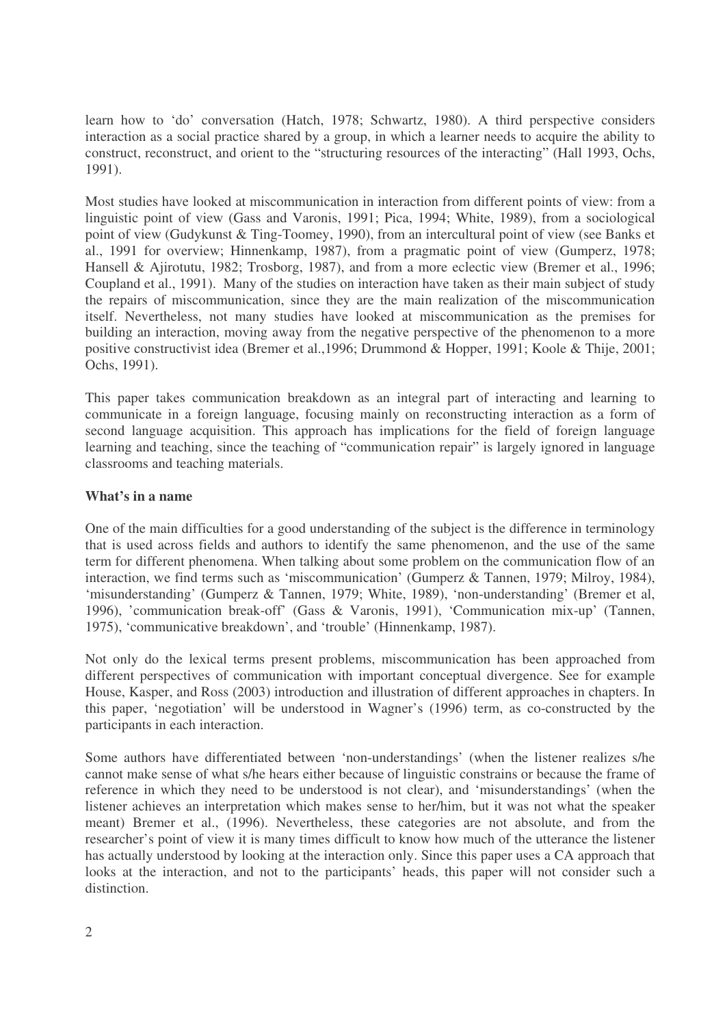learn how to 'do' conversation (Hatch, 1978; Schwartz, 1980). A third perspective considers interaction as a social practice shared by a group, in which a learner needs to acquire the ability to construct, reconstruct, and orient to the "structuring resources of the interacting" (Hall 1993, Ochs, 1991).

Most studies have looked at miscommunication in interaction from different points of view: from a linguistic point of view (Gass and Varonis, 1991; Pica, 1994; White, 1989), from a sociological point of view (Gudykunst & Ting-Toomey, 1990), from an intercultural point of view (see Banks et al., 1991 for overview; Hinnenkamp, 1987), from a pragmatic point of view (Gumperz, 1978; Hansell & Ajirotutu, 1982; Trosborg, 1987), and from a more eclectic view (Bremer et al., 1996; Coupland et al., 1991). Many of the studies on interaction have taken as their main subject of study the repairs of miscommunication, since they are the main realization of the miscommunication itself. Nevertheless, not many studies have looked at miscommunication as the premises for building an interaction, moving away from the negative perspective of the phenomenon to a more positive constructivist idea (Bremer et al.,1996; Drummond & Hopper, 1991; Koole & Thije, 2001; Ochs, 1991).

This paper takes communication breakdown as an integral part of interacting and learning to communicate in a foreign language, focusing mainly on reconstructing interaction as a form of second language acquisition. This approach has implications for the field of foreign language learning and teaching, since the teaching of "communication repair" is largely ignored in language classrooms and teaching materials.

# **What's in a name**

One of the main difficulties for a good understanding of the subject is the difference in terminology that is used across fields and authors to identify the same phenomenon, and the use of the same term for different phenomena. When talking about some problem on the communication flow of an interaction, we find terms such as 'miscommunication' (Gumperz & Tannen, 1979; Milroy, 1984), 'misunderstanding' (Gumperz & Tannen, 1979; White, 1989), 'non-understanding' (Bremer et al, 1996), 'communication break-off' (Gass & Varonis, 1991), 'Communication mix-up' (Tannen, 1975), 'communicative breakdown', and 'trouble' (Hinnenkamp, 1987).

Not only do the lexical terms present problems, miscommunication has been approached from different perspectives of communication with important conceptual divergence. See for example House, Kasper, and Ross (2003) introduction and illustration of different approaches in chapters. In this paper, 'negotiation' will be understood in Wagner's (1996) term, as co-constructed by the participants in each interaction.

Some authors have differentiated between 'non-understandings' (when the listener realizes s/he cannot make sense of what s/he hears either because of linguistic constrains or because the frame of reference in which they need to be understood is not clear), and 'misunderstandings' (when the listener achieves an interpretation which makes sense to her/him, but it was not what the speaker meant) Bremer et al., (1996). Nevertheless, these categories are not absolute, and from the researcher's point of view it is many times difficult to know how much of the utterance the listener has actually understood by looking at the interaction only. Since this paper uses a CA approach that looks at the interaction, and not to the participants' heads, this paper will not consider such a distinction.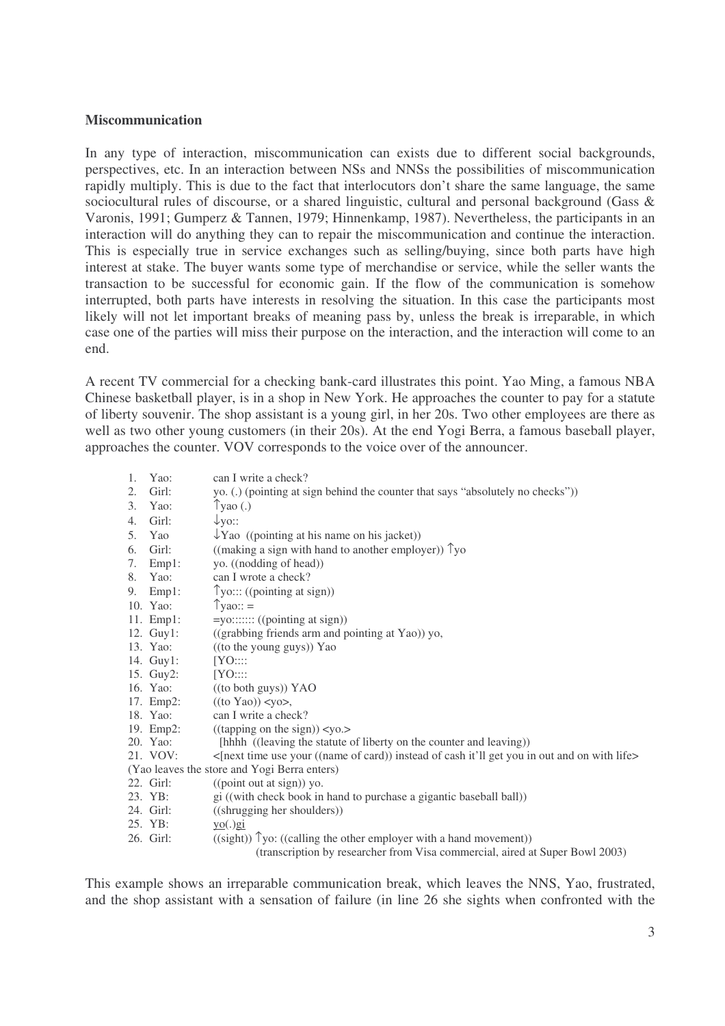## **Miscommunication**

In any type of interaction, miscommunication can exists due to different social backgrounds, perspectives, etc. In an interaction between NSs and NNSs the possibilities of miscommunication rapidly multiply. This is due to the fact that interlocutors don't share the same language, the same sociocultural rules of discourse, or a shared linguistic, cultural and personal background (Gass & Varonis, 1991; Gumperz & Tannen, 1979; Hinnenkamp, 1987). Nevertheless, the participants in an interaction will do anything they can to repair the miscommunication and continue the interaction. This is especially true in service exchanges such as selling/buying, since both parts have high interest at stake. The buyer wants some type of merchandise or service, while the seller wants the transaction to be successful for economic gain. If the flow of the communication is somehow interrupted, both parts have interests in resolving the situation. In this case the participants most likely will not let important breaks of meaning pass by, unless the break is irreparable, in which case one of the parties will miss their purpose on the interaction, and the interaction will come to an end.

A recent TV commercial for a checking bank-card illustrates this point. Yao Ming, a famous NBA Chinese basketball player, is in a shop in New York. He approaches the counter to pay for a statute of liberty souvenir. The shop assistant is a young girl, in her 20s. Two other employees are there as well as two other young customers (in their 20s). At the end Yogi Berra, a famous baseball player, approaches the counter. VOV corresponds to the voice over of the announcer.

| 1. | Yao:         | can I write a check?                                                                         |
|----|--------------|----------------------------------------------------------------------------------------------|
| 2. | Girl:        | yo. (.) (pointing at sign behind the counter that says "absolutely no checks"))              |
| 3. | Yao:         | $\gamma$ yao (.)                                                                             |
| 4. | Girl:        | $\downarrow$ yo::                                                                            |
| 5. | Yao          | $\downarrow$ Yao ((pointing at his name on his jacket))                                      |
| 6. | Girl:        | ((making a sign with hand to another employer)) $\gamma$ yo                                  |
| 7. | Emp1:        | yo. ((nodding of head))                                                                      |
|    | 8. Yao:      | can I wrote a check?                                                                         |
|    | 9. Emp1:     | $\uparrow$ yo::: ((pointing at sign))                                                        |
|    | 10. Yao:     | $\gamma$ yao::=                                                                              |
|    | 11. $Emp1$ : | $=$ yo::::::: ((pointing at sign))                                                           |
|    | 12. Guy1:    | ((grabbing friends arm and pointing at Yao)) yo,                                             |
|    | 13. Yao:     | ((to the young guys)) Yao                                                                    |
|    | 14. Guy1:    | [YO:::                                                                                       |
|    | 15. Guy2:    | [YO:::                                                                                       |
|    | 16. Yao:     | ((to both guys)) YAO                                                                         |
|    | 17. Emp2:    | $((to Yao))$ < yo >,                                                                         |
|    | 18. Yao:     | can I write a check?                                                                         |
|    | 19. Emp2:    | ((tapping on the sign)) < yo.                                                                |
|    | 20. Yao:     | [hhhh ((leaving the statute of liberty on the counter and leaving))                          |
|    | 21. VOV:     | <[next time use your ((name of card)) instead of cash it'll get you in out and on with life> |
|    |              | (Yao leaves the store and Yogi Berra enters)                                                 |
|    | 22. Girl:    | ((point out at sign)) yo.                                                                    |
|    | 23. YB:      | gi ((with check book in hand to purchase a gigantic baseball ball))                          |
|    | 24. Girl:    | ((shrugging her shoulders))                                                                  |
|    | 25. YB:      | $y_0(.)$ gi                                                                                  |
|    | 26. Girl:    | $((sight))$ $\gamma$ yo: $((calling the other employer with a hand movement))$               |
|    |              | (transcription by researcher from Visa commercial, aired at Super Bowl 2003)                 |

This example shows an irreparable communication break, which leaves the NNS, Yao, frustrated, and the shop assistant with a sensation of failure (in line 26 she sights when confronted with the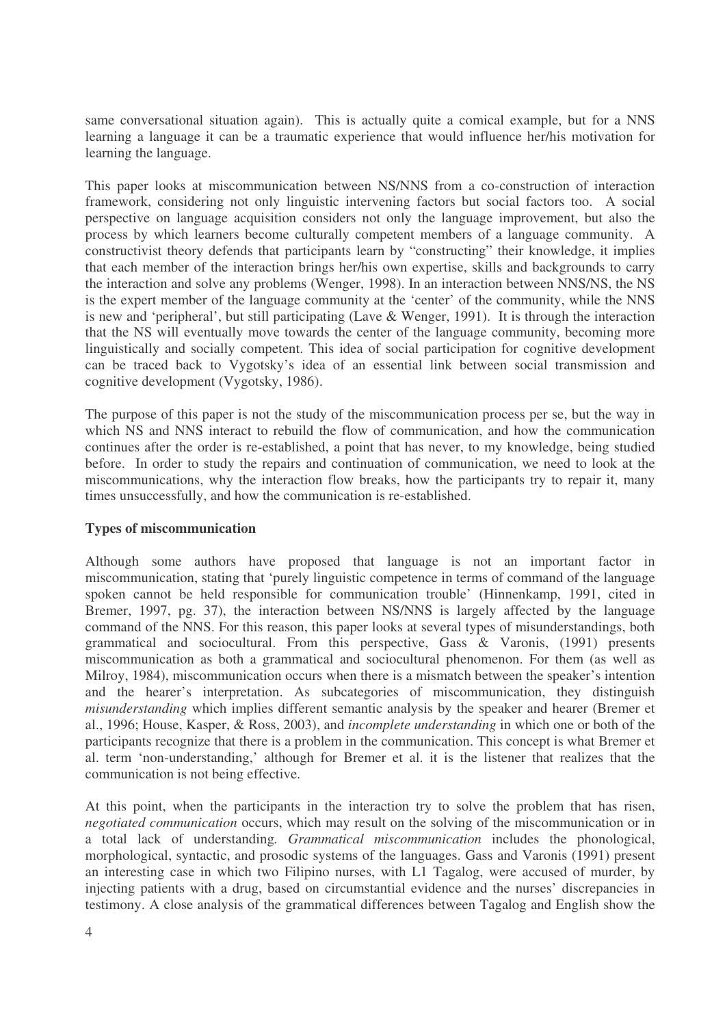same conversational situation again). This is actually quite a comical example, but for a NNS learning a language it can be a traumatic experience that would influence her/his motivation for learning the language.

This paper looks at miscommunication between NS/NNS from a co-construction of interaction framework, considering not only linguistic intervening factors but social factors too. A social perspective on language acquisition considers not only the language improvement, but also the process by which learners become culturally competent members of a language community. A constructivist theory defends that participants learn by "constructing" their knowledge, it implies that each member of the interaction brings her/his own expertise, skills and backgrounds to carry the interaction and solve any problems (Wenger, 1998). In an interaction between NNS/NS, the NS is the expert member of the language community at the 'center' of the community, while the NNS is new and 'peripheral', but still participating (Lave & Wenger, 1991). It is through the interaction that the NS will eventually move towards the center of the language community, becoming more linguistically and socially competent. This idea of social participation for cognitive development can be traced back to Vygotsky's idea of an essential link between social transmission and cognitive development (Vygotsky, 1986).

The purpose of this paper is not the study of the miscommunication process per se, but the way in which NS and NNS interact to rebuild the flow of communication, and how the communication continues after the order is re-established, a point that has never, to my knowledge, being studied before. In order to study the repairs and continuation of communication, we need to look at the miscommunications, why the interaction flow breaks, how the participants try to repair it, many times unsuccessfully, and how the communication is re-established.

# **Types of miscommunication**

Although some authors have proposed that language is not an important factor in miscommunication, stating that 'purely linguistic competence in terms of command of the language spoken cannot be held responsible for communication trouble' (Hinnenkamp, 1991, cited in Bremer, 1997, pg. 37), the interaction between NS/NNS is largely affected by the language command of the NNS. For this reason, this paper looks at several types of misunderstandings, both grammatical and sociocultural. From this perspective, Gass & Varonis, (1991) presents miscommunication as both a grammatical and sociocultural phenomenon. For them (as well as Milroy, 1984), miscommunication occurs when there is a mismatch between the speaker's intention and the hearer's interpretation. As subcategories of miscommunication, they distinguish *misunderstanding* which implies different semantic analysis by the speaker and hearer (Bremer et al., 1996; House, Kasper, & Ross, 2003), and *incomplete understanding* in which one or both of the participants recognize that there is a problem in the communication. This concept is what Bremer et al. term 'non-understanding,' although for Bremer et al. it is the listener that realizes that the communication is not being effective.

At this point, when the participants in the interaction try to solve the problem that has risen, *negotiated communication* occurs, which may result on the solving of the miscommunication or in a total lack of understanding*. Grammatical miscommunication* includes the phonological, morphological, syntactic, and prosodic systems of the languages. Gass and Varonis (1991) present an interesting case in which two Filipino nurses, with L1 Tagalog, were accused of murder, by injecting patients with a drug, based on circumstantial evidence and the nurses' discrepancies in testimony. A close analysis of the grammatical differences between Tagalog and English show the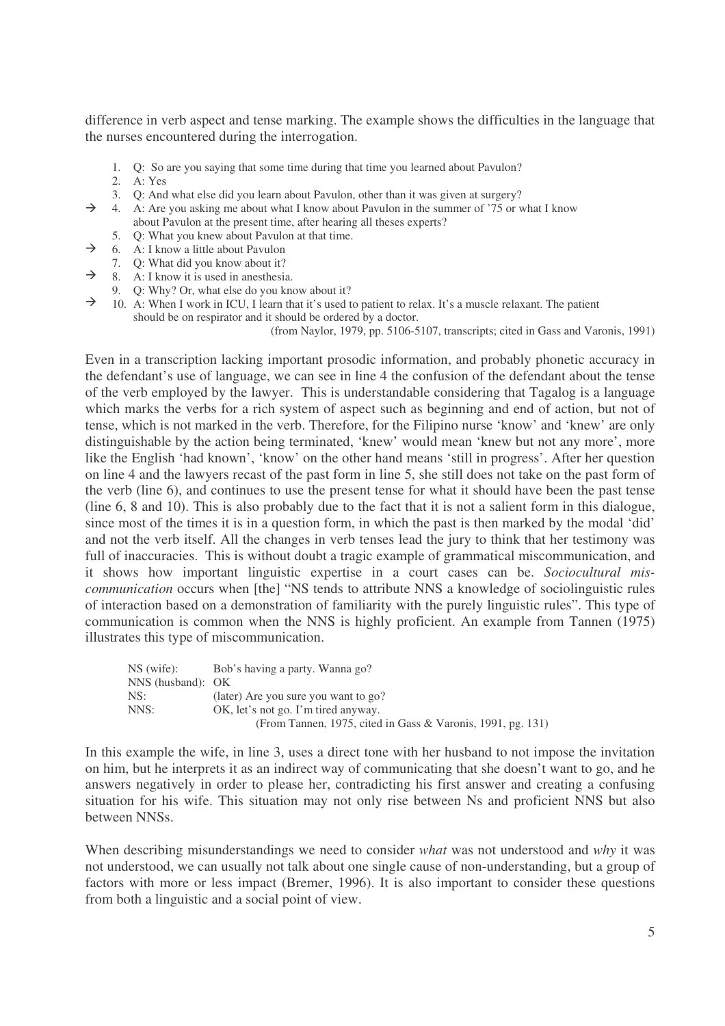difference in verb aspect and tense marking. The example shows the difficulties in the language that the nurses encountered during the interrogation.

- 1. Q: So are you saying that some time during that time you learned about Pavulon?
- 2. A: Yes
- 3. Q: And what else did you learn about Pavulon, other than it was given at surgery?
- $\rightarrow$ 4. A: Are you asking me about what I know about Pavulon in the summer of '75 or what I know about Pavulon at the present time, after hearing all theses experts?
- $\rightarrow$ 5. Q: What you knew about Pavulon at that time.
- 6. A: I know a little about Pavulon
- $\rightarrow$  8. A: I know it is used in anesthesia. 7. Q: What did you know about it?
- 9. Q: Why? Or, what else do you know about it?
- $\rightarrow$  10. A: When I work in ICU, I learn that it's used to patient to relax. It's a muscle relaxant. The patient should be on respirator and it should be ordered by a doctor.

(from Naylor, 1979, pp. 5106-5107, transcripts; cited in Gass and Varonis, 1991)

Even in a transcription lacking important prosodic information, and probably phonetic accuracy in the defendant's use of language, we can see in line 4 the confusion of the defendant about the tense of the verb employed by the lawyer. This is understandable considering that Tagalog is a language which marks the verbs for a rich system of aspect such as beginning and end of action, but not of tense, which is not marked in the verb. Therefore, for the Filipino nurse 'know' and 'knew' are only distinguishable by the action being terminated, 'knew' would mean 'knew but not any more', more like the English 'had known', 'know' on the other hand means 'still in progress'. After her question on line 4 and the lawyers recast of the past form in line 5, she still does not take on the past form of the verb (line 6), and continues to use the present tense for what it should have been the past tense (line 6, 8 and 10). This is also probably due to the fact that it is not a salient form in this dialogue, since most of the times it is in a question form, in which the past is then marked by the modal 'did' and not the verb itself. All the changes in verb tenses lead the jury to think that her testimony was full of inaccuracies. This is without doubt a tragic example of grammatical miscommunication, and it shows how important linguistic expertise in a court cases can be. *Sociocultural miscommunication* occurs when [the] "NS tends to attribute NNS a knowledge of sociolinguistic rules of interaction based on a demonstration of familiarity with the purely linguistic rules". This type of communication is common when the NNS is highly proficient. An example from Tannen (1975) illustrates this type of miscommunication.

| NS (wife):            | Bob's having a party. Wanna go?                             |
|-----------------------|-------------------------------------------------------------|
| $NNS$ (husband): $OK$ |                                                             |
| NS:                   | (later) Are you sure you want to go?                        |
| NNS:                  | OK, let's not go. I'm tired anyway.                         |
|                       | (From Tannen, 1975, cited in Gass & Varonis, 1991, pg. 131) |

In this example the wife, in line 3, uses a direct tone with her husband to not impose the invitation on him, but he interprets it as an indirect way of communicating that she doesn't want to go, and he answers negatively in order to please her, contradicting his first answer and creating a confusing situation for his wife. This situation may not only rise between Ns and proficient NNS but also between NNSs.

When describing misunderstandings we need to consider *what* was not understood and *why* it was not understood, we can usually not talk about one single cause of non-understanding, but a group of factors with more or less impact (Bremer, 1996). It is also important to consider these questions from both a linguistic and a social point of view.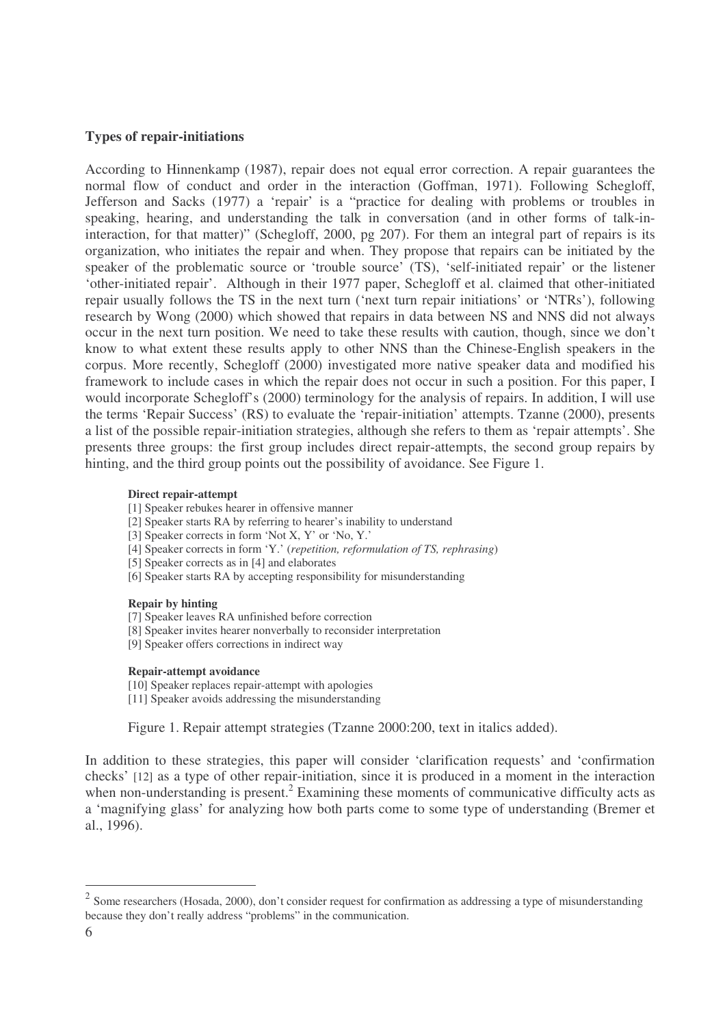## **Types of repair-initiations**

According to Hinnenkamp (1987), repair does not equal error correction. A repair guarantees the normal flow of conduct and order in the interaction (Goffman, 1971). Following Schegloff, Jefferson and Sacks (1977) a 'repair' is a "practice for dealing with problems or troubles in speaking, hearing, and understanding the talk in conversation (and in other forms of talk-ininteraction, for that matter)" (Schegloff, 2000, pg 207). For them an integral part of repairs is its organization, who initiates the repair and when. They propose that repairs can be initiated by the speaker of the problematic source or 'trouble source' (TS), 'self-initiated repair' or the listener 'other-initiated repair'. Although in their 1977 paper, Schegloff et al. claimed that other-initiated repair usually follows the TS in the next turn ('next turn repair initiations' or 'NTRs'), following research by Wong (2000) which showed that repairs in data between NS and NNS did not always occur in the next turn position. We need to take these results with caution, though, since we don't know to what extent these results apply to other NNS than the Chinese-English speakers in the corpus. More recently, Schegloff (2000) investigated more native speaker data and modified his framework to include cases in which the repair does not occur in such a position. For this paper, I would incorporate Schegloff's (2000) terminology for the analysis of repairs. In addition, I will use the terms 'Repair Success' (RS) to evaluate the 'repair-initiation' attempts. Tzanne (2000), presents a list of the possible repair-initiation strategies, although she refers to them as 'repair attempts'. She presents three groups: the first group includes direct repair-attempts, the second group repairs by hinting, and the third group points out the possibility of avoidance. See Figure 1.

#### **Direct repair-attempt**

[1] Speaker rebukes hearer in offensive manner

- [2] Speaker starts RA by referring to hearer's inability to understand
- [3] Speaker corrects in form 'Not X, Y' or 'No, Y.'
- [4] Speaker corrects in form 'Y.' (*repetition, reformulation of TS, rephrasing*)
- [5] Speaker corrects as in [4] and elaborates
- [6] Speaker starts RA by accepting responsibility for misunderstanding

#### **Repair by hinting**

- [7] Speaker leaves RA unfinished before correction
- [8] Speaker invites hearer nonverbally to reconsider interpretation
- [9] Speaker offers corrections in indirect way

#### **Repair-attempt avoidance**

[10] Speaker replaces repair-attempt with apologies [11] Speaker avoids addressing the misunderstanding

Figure 1. Repair attempt strategies (Tzanne 2000:200, text in italics added).

In addition to these strategies, this paper will consider 'clarification requests' and 'confirmation checks' [12] as a type of other repair-initiation, since it is produced in a moment in the interaction when non-understanding is present.<sup>2</sup> Examining these moments of communicative difficulty acts as a 'magnifying glass' for analyzing how both parts come to some type of understanding (Bremer et al., 1996).

 $2$  Some researchers (Hosada, 2000), don't consider request for confirmation as addressing a type of misunderstanding because they don't really address "problems" in the communication.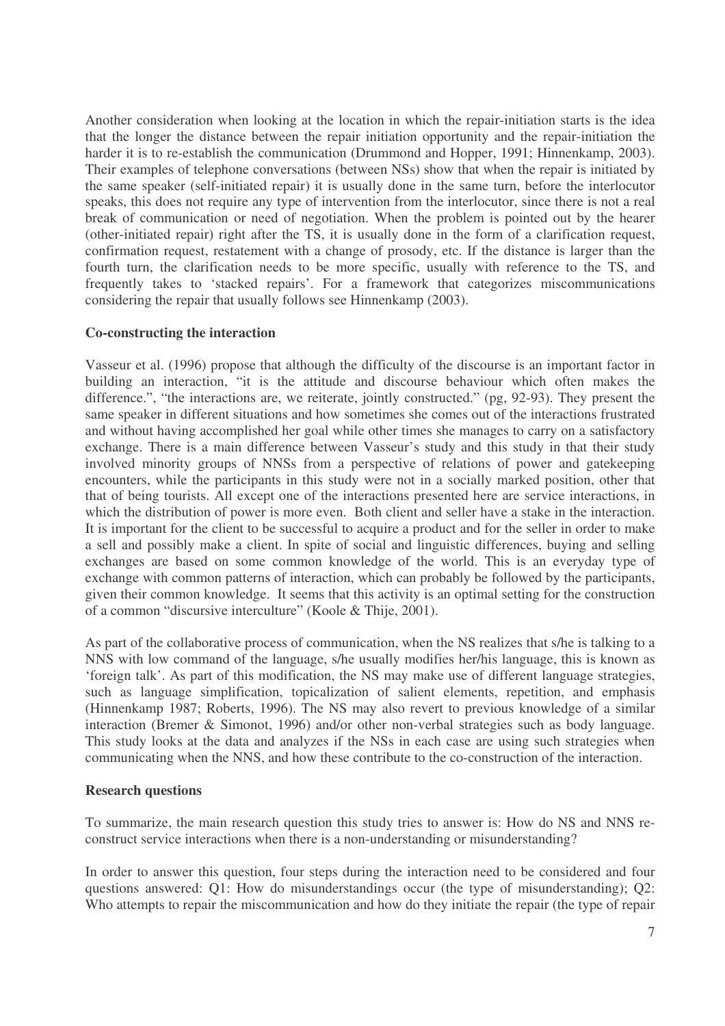Another consideration when looking at the location in which the repair-initiation starts is the idea that the longer the distance between the repair initiation opportunity and the repair-initiation the harder it is to re-establish the communication (Drummond and Hopper, 1991; Hinnenkamp, 2003). Their examples of telephone conversations (between NSs) show that when the repair is initiated by the same speaker (self-initiated repair) it is usually done in the same turn, before the interlocutor speaks, this does not require any type of intervention from the interlocutor, since there is not a real break of communication or need of negotiation. When the problem is pointed out by the hearer (other-initiated repair) right after the TS, it is usually done in the form of a clarification request, confirmation request, restatement with a change of prosody, etc. If the distance is larger than the fourth turn, the clarification needs to be more specific, usually with reference to the TS, and frequently takes to 'stacked repairs'. For a framework that categorizes miscommunications considering the repair that usually follows see Hinnenkamp (2003).

# **Co-constructing the interaction**

Vasseur et al. (1996) propose that although the difficulty of the discourse is an important factor in building an interaction, "it is the attitude and discourse behaviour which often makes the difference.", "the interactions are, we reiterate, jointly constructed." (pg, 92-93). They present the same speaker in different situations and how sometimes she comes out of the interactions frustrated and without having accomplished her goal while other times she manages to carry on a satisfactory exchange. There is a main difference between Vasseur's study and this study in that their study involved minority groups of NNSs from a perspective of relations of power and gatekeeping encounters, while the participants in this study were not in a socially marked position, other that that of being tourists. All except one of the interactions presented here are service interactions, in which the distribution of power is more even. Both client and seller have a stake in the interaction. It is important for the client to be successful to acquire a product and for the seller in order to make a sell and possibly make a client. In spite of social and linguistic differences, buying and selling exchanges are based on some common knowledge of the world. This is an everyday type of exchange with common patterns of interaction, which can probably be followed by the participants, given their common knowledge. It seems that this activity is an optimal setting for the construction of a common "discursive interculture" (Koole & Thije, 2001).

As part of the collaborative process of communication, when the NS realizes that s/he is talking to a NNS with low command of the language, s/he usually modifies her/his language, this is known as 'foreign talk'. As part of this modification, the NS may make use of different language strategies, such as language simplification, topicalization of salient elements, repetition, and emphasis (Hinnenkamp 1987; Roberts, 1996). The NS may also revert to previous knowledge of a similar interaction (Bremer & Simonot, 1996) and/or other non-verbal strategies such as body language. This study looks at the data and analyzes if the NSs in each case are using such strategies when communicating when the NNS, and how these contribute to the co-construction of the interaction.

# **Research questions**

To summarize, the main research question this study tries to answer is: How do NS and NNS reconstruct service interactions when there is a non-understanding or misunderstanding?

In order to answer this question, four steps during the interaction need to be considered and four questions answered: Q1: How do misunderstandings occur (the type of misunderstanding); Q2: Who attempts to repair the miscommunication and how do they initiate the repair (the type of repair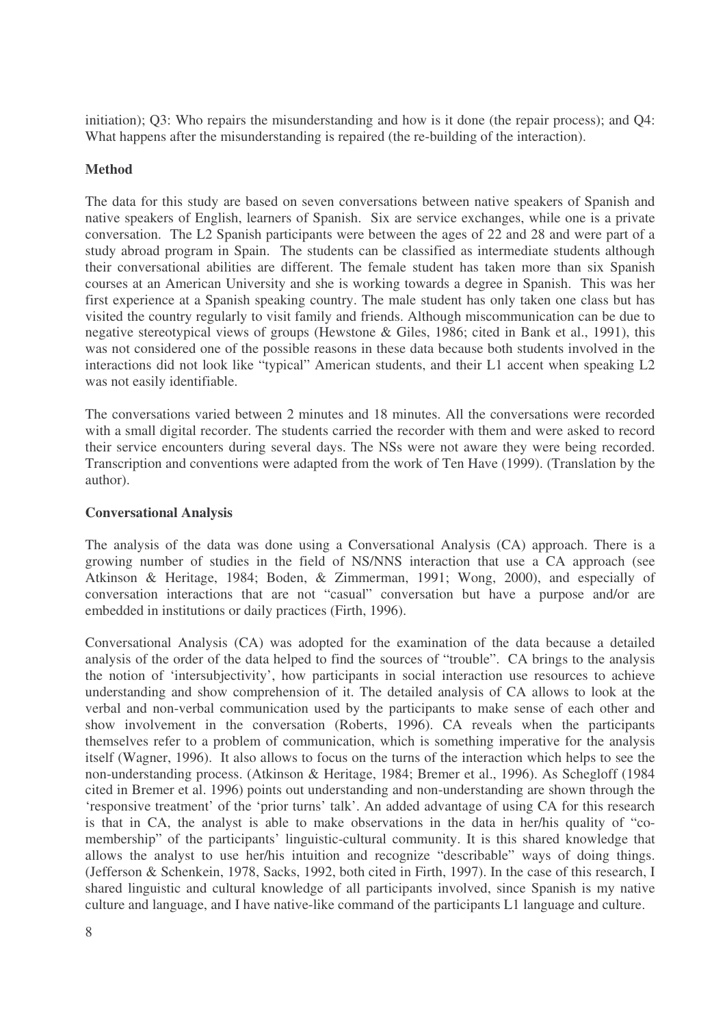initiation); Q3: Who repairs the misunderstanding and how is it done (the repair process); and Q4: What happens after the misunderstanding is repaired (the re-building of the interaction).

# **Method**

The data for this study are based on seven conversations between native speakers of Spanish and native speakers of English, learners of Spanish. Six are service exchanges, while one is a private conversation. The L2 Spanish participants were between the ages of 22 and 28 and were part of a study abroad program in Spain. The students can be classified as intermediate students although their conversational abilities are different. The female student has taken more than six Spanish courses at an American University and she is working towards a degree in Spanish. This was her first experience at a Spanish speaking country. The male student has only taken one class but has visited the country regularly to visit family and friends. Although miscommunication can be due to negative stereotypical views of groups (Hewstone & Giles, 1986; cited in Bank et al., 1991), this was not considered one of the possible reasons in these data because both students involved in the interactions did not look like "typical" American students, and their L1 accent when speaking L2 was not easily identifiable.

The conversations varied between 2 minutes and 18 minutes. All the conversations were recorded with a small digital recorder. The students carried the recorder with them and were asked to record their service encounters during several days. The NSs were not aware they were being recorded. Transcription and conventions were adapted from the work of Ten Have (1999). (Translation by the author).

# **Conversational Analysis**

The analysis of the data was done using a Conversational Analysis (CA) approach. There is a growing number of studies in the field of NS/NNS interaction that use a CA approach (see Atkinson & Heritage, 1984; Boden, & Zimmerman, 1991; Wong, 2000), and especially of conversation interactions that are not "casual" conversation but have a purpose and/or are embedded in institutions or daily practices (Firth, 1996).

Conversational Analysis (CA) was adopted for the examination of the data because a detailed analysis of the order of the data helped to find the sources of "trouble". CA brings to the analysis the notion of 'intersubjectivity', how participants in social interaction use resources to achieve understanding and show comprehension of it. The detailed analysis of CA allows to look at the verbal and non-verbal communication used by the participants to make sense of each other and show involvement in the conversation (Roberts, 1996). CA reveals when the participants themselves refer to a problem of communication, which is something imperative for the analysis itself (Wagner, 1996). It also allows to focus on the turns of the interaction which helps to see the non-understanding process. (Atkinson & Heritage, 1984; Bremer et al., 1996). As Schegloff (1984 cited in Bremer et al. 1996) points out understanding and non-understanding are shown through the 'responsive treatment' of the 'prior turns' talk'. An added advantage of using CA for this research is that in CA, the analyst is able to make observations in the data in her/his quality of "comembership" of the participants' linguistic-cultural community. It is this shared knowledge that allows the analyst to use her/his intuition and recognize "describable" ways of doing things. (Jefferson & Schenkein, 1978, Sacks, 1992, both cited in Firth, 1997). In the case of this research, I shared linguistic and cultural knowledge of all participants involved, since Spanish is my native culture and language, and I have native-like command of the participants L1 language and culture.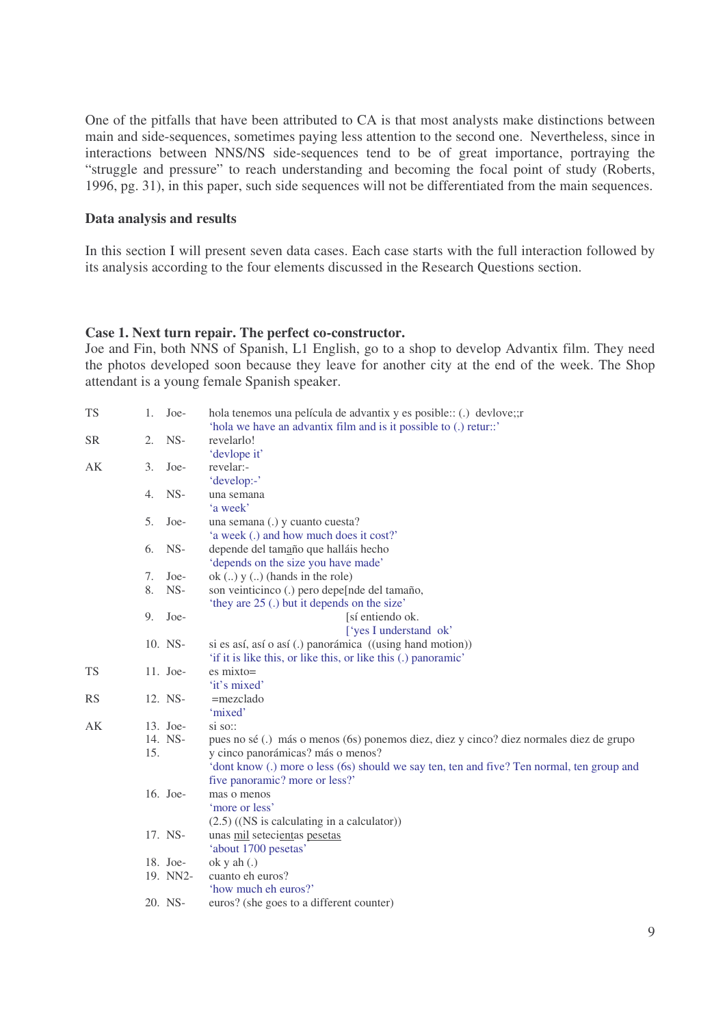One of the pitfalls that have been attributed to CA is that most analysts make distinctions between main and side-sequences, sometimes paying less attention to the second one. Nevertheless, since in interactions between NNS/NS side-sequences tend to be of great importance, portraying the "struggle and pressure" to reach understanding and becoming the focal point of study (Roberts, 1996, pg. 31), in this paper, such side sequences will not be differentiated from the main sequences.

#### **Data analysis and results**

In this section I will present seven data cases. Each case starts with the full interaction followed by its analysis according to the four elements discussed in the Research Questions section.

#### **Case 1. Next turn repair. The perfect co-constructor.**

Joe and Fin, both NNS of Spanish, L1 English, go to a shop to develop Advantix film. They need the photos developed soon because they leave for another city at the end of the week. The Shop attendant is a young female Spanish speaker.

| 1.             | Joe- | hola tenemos una película de advantix y es posible:: (.) devlove;;r<br>'hola we have an advantix film and is it possible to (.) retur::' |
|----------------|------|------------------------------------------------------------------------------------------------------------------------------------------|
| 2.             | NS-  | revelarlo!<br>'devlope it'                                                                                                               |
| 3.             | Joe- | revelar:-<br>'develop:-'                                                                                                                 |
| 4.             | NS-  | una semana<br>'a week'                                                                                                                   |
| 5 <sub>1</sub> | Joe- | una semana (.) y cuanto cuesta?<br>'a week (.) and how much does it cost?'                                                               |
| 6.             | NS-  | depende del tamaño que halláis hecho<br>'depends on the size you have made'                                                              |
| 7.             | Joe- | ok $(.)$ y $(.)$ (hands in the role)                                                                                                     |
| 8.             | NS-  | son veinticinco (.) pero depe[nde del tamaño,<br>'they are 25 (.) but it depends on the size'                                            |
| 9.             | Joe- | [sí entiendo ok.<br>['yes I understand ok'                                                                                               |
|                |      | si es así, así o así (.) panorámica ((using hand motion))<br>'if it is like this, or like this, or like this (.) panoramic'              |
|                |      | $es mixto=$<br>'it's mixed'                                                                                                              |
|                |      | $=$ mezclado<br>'mixed'                                                                                                                  |
|                |      | $\sin$ so::                                                                                                                              |
|                |      | pues no sé (.) más o menos (6s) ponemos diez, diez y cinco? diez normales diez de grupo<br>y cinco panorámicas? más o menos?             |
|                |      | 'dont know (.) more o less (6s) should we say ten, ten and five? Ten normal, ten group and<br>five panoramic? more or less?'             |
|                |      | mas o menos<br>'more or less'<br>$(2.5)$ ((NS is calculating in a calculator))                                                           |
|                |      | unas mil setecientas pesetas<br>'about 1700 pesetas'                                                                                     |
|                |      | okyah(.)                                                                                                                                 |
|                |      | cuanto eh euros?<br>'how much eh euros?'                                                                                                 |
|                |      | euros? (she goes to a different counter)                                                                                                 |
|                |      | 10. NS-<br>11. Joe-<br>12. NS-<br>13. Joe-<br>14. NS-<br>15.<br>16. Joe-<br>17. NS-<br>18. Joe-<br>19. NN2-<br>20. NS-                   |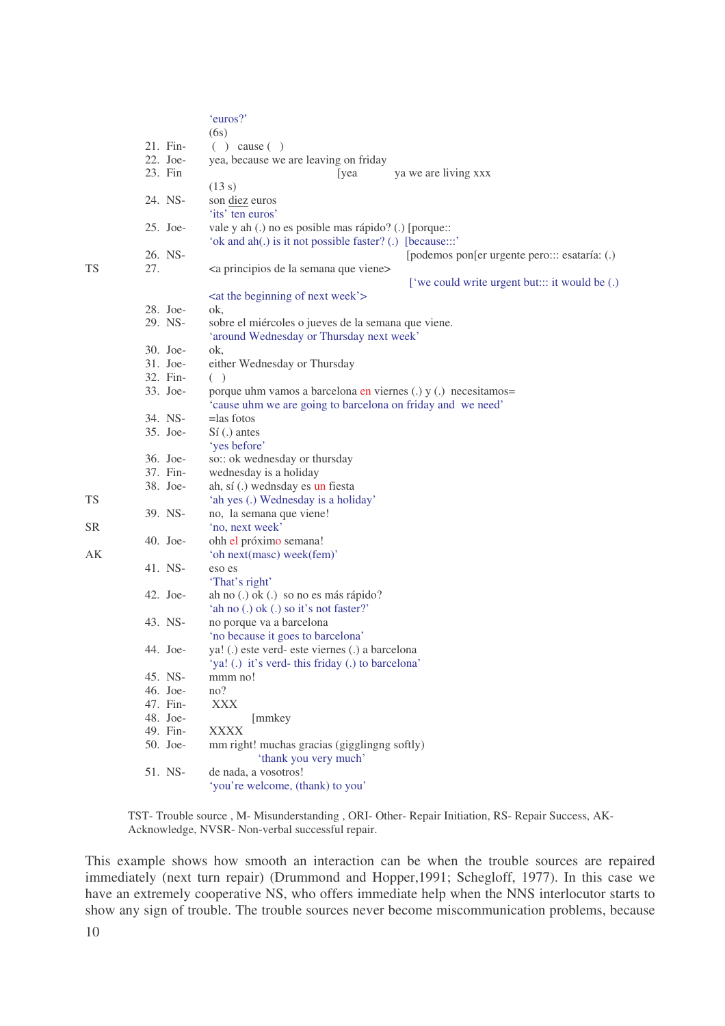|     |            | 'euros?'<br>(6s)                                                                                                              |
|-----|------------|-------------------------------------------------------------------------------------------------------------------------------|
|     | 21. Fin-   | $( )$ cause $( )$                                                                                                             |
|     | 22. Joe-   | yea, because we are leaving on friday                                                                                         |
|     | 23. Fin    |                                                                                                                               |
|     |            | [yea<br>ya we are living xxx<br>(13 s)                                                                                        |
|     | 24. NS-    | son diez euros                                                                                                                |
|     |            | 'its' ten euros'                                                                                                              |
|     | 25. Joe-   |                                                                                                                               |
|     |            | vale y ah (.) no es posible mas rápido? (.) [porque::<br>'ok and ah(.) is it not possible faster? (.) [because:::'            |
|     | 26. NS-    |                                                                                                                               |
| 27. |            | [podemos pon[er urgente pero::: esataría: (.)<br><a de="" la="" principios="" que="" semana="" viene=""></a>                  |
|     |            |                                                                                                                               |
|     |            | ['we could write urgent but::: it would be (.)                                                                                |
|     | 28. Joe-   | <at beginning="" next="" of="" the="" week'=""></at>                                                                          |
|     | 29. NS-    | ok,                                                                                                                           |
|     |            | sobre el miércoles o jueves de la semana que viene.                                                                           |
|     |            | 'around Wednesday or Thursday next week'                                                                                      |
|     | 30. Joe-   | ok,                                                                                                                           |
|     | 31. Joe-   | either Wednesday or Thursday                                                                                                  |
|     | 32. Fin-   | $($ )                                                                                                                         |
|     | 33. Joe-   | porque uhm vamos a barcelona en viernes (.) y (.) necesitamos=<br>'cause uhm we are going to barcelona on friday and we need' |
|     | 34. NS-    | $=$ las fotos                                                                                                                 |
|     | 35. Joe-   | Sí(.) antes                                                                                                                   |
|     |            | 'yes before'                                                                                                                  |
|     | 36. Joe-   | so:: ok wednesday or thursday                                                                                                 |
|     | 37. Fin-   | wednesday is a holiday                                                                                                        |
|     | 38. Joe-   | ah, sí (.) wednsday es un fiesta                                                                                              |
|     |            | 'ah yes (.) Wednesday is a holiday'                                                                                           |
|     | 39. NS-    | no, la semana que viene!                                                                                                      |
|     |            | 'no, next week'                                                                                                               |
|     | $40.$ Joe- | ohh el próximo semana!                                                                                                        |
|     |            | 'oh next(masc) week(fem)'                                                                                                     |
|     | 41. NS-    | eso es                                                                                                                        |
|     |            | 'That's right'                                                                                                                |
|     | 42. Joe-   | ah no (.) ok (.) so no es más rápido?                                                                                         |
|     |            | 'ah no (.) ok (.) so it's not faster?'                                                                                        |
|     | 43. NS-    | no porque va a barcelona                                                                                                      |
|     |            | 'no because it goes to barcelona'                                                                                             |
|     | 44. Joe-   | ya! (.) este verd- este viernes (.) a barcelona                                                                               |
|     |            | 'ya! (.) it's verd-this friday (.) to barcelona'                                                                              |
|     | 45. NS-    | mmm no!                                                                                                                       |
|     | 46. Joe-   | no?                                                                                                                           |
|     | 47. Fin-   | <b>XXX</b>                                                                                                                    |
|     | 48. Joe-   | [mmkey                                                                                                                        |
|     | 49. Fin-   | <b>XXXX</b>                                                                                                                   |
|     | 50. Joe-   | mm right! muchas gracias (gigglingng softly)<br>'thank you very much'                                                         |
|     | 51. NS-    | de nada, a vosotros!                                                                                                          |
|     |            | 'you're welcome, (thank) to you'                                                                                              |

TST- Trouble source , M- Misunderstanding , ORI- Other- Repair Initiation, RS- Repair Success, AK-Acknowledge, NVSR- Non-verbal successful repair.

This example shows how smooth an interaction can be when the trouble sources are repaired immediately (next turn repair) (Drummond and Hopper,1991; Schegloff, 1977). In this case we have an extremely cooperative NS, who offers immediate help when the NNS interlocutor starts to show any sign of trouble. The trouble sources never become miscommunication problems, because

TS

TS

SR

AK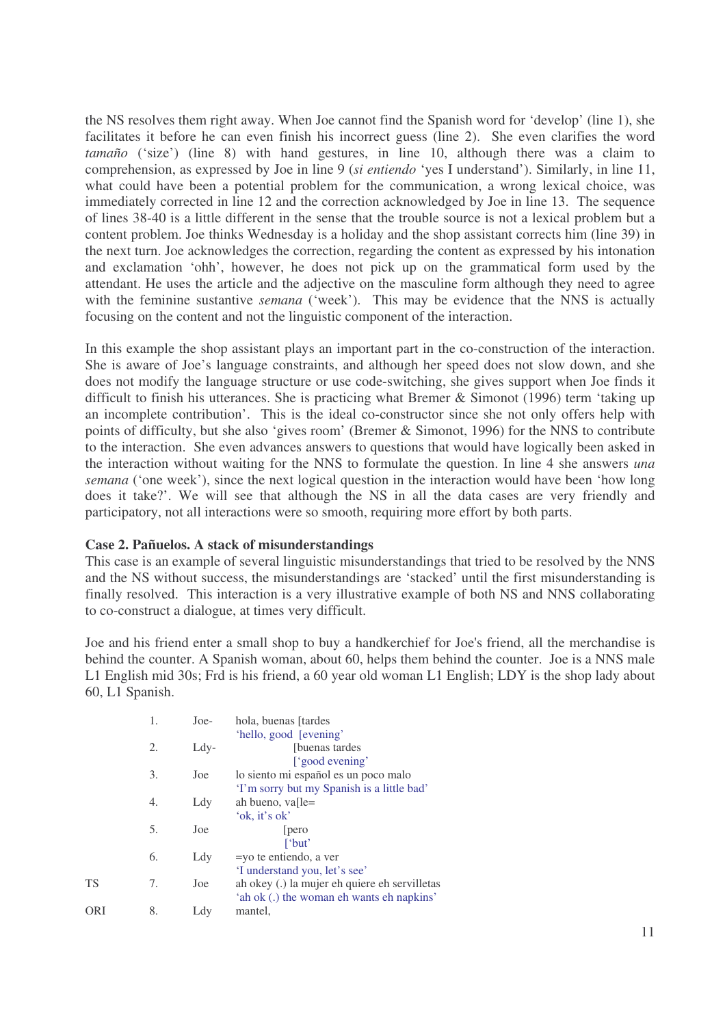the NS resolves them right away. When Joe cannot find the Spanish word for 'develop' (line 1), she facilitates it before he can even finish his incorrect guess (line 2). She even clarifies the word *tamaño* ('size') (line 8) with hand gestures, in line 10, although there was a claim to comprehension, as expressed by Joe in line 9 (*si entiendo* 'yes I understand'). Similarly, in line 11, what could have been a potential problem for the communication, a wrong lexical choice, was immediately corrected in line 12 and the correction acknowledged by Joe in line 13. The sequence of lines 38-40 is a little different in the sense that the trouble source is not a lexical problem but a content problem. Joe thinks Wednesday is a holiday and the shop assistant corrects him (line 39) in the next turn. Joe acknowledges the correction, regarding the content as expressed by his intonation and exclamation 'ohh', however, he does not pick up on the grammatical form used by the attendant. He uses the article and the adjective on the masculine form although they need to agree with the feminine sustantive *semana* ('week'). This may be evidence that the NNS is actually focusing on the content and not the linguistic component of the interaction.

In this example the shop assistant plays an important part in the co-construction of the interaction. She is aware of Joe's language constraints, and although her speed does not slow down, and she does not modify the language structure or use code-switching, she gives support when Joe finds it difficult to finish his utterances. She is practicing what Bremer & Simonot (1996) term 'taking up an incomplete contribution'. This is the ideal co-constructor since she not only offers help with points of difficulty, but she also 'gives room' (Bremer & Simonot, 1996) for the NNS to contribute to the interaction. She even advances answers to questions that would have logically been asked in the interaction without waiting for the NNS to formulate the question. In line 4 she answers *una semana* ('one week'), since the next logical question in the interaction would have been 'how long does it take?'. We will see that although the NS in all the data cases are very friendly and participatory, not all interactions were so smooth, requiring more effort by both parts.

## **Case 2. Pañuelos. A stack of misunderstandings**

This case is an example of several linguistic misunderstandings that tried to be resolved by the NNS and the NS without success, the misunderstandings are 'stacked' until the first misunderstanding is finally resolved. This interaction is a very illustrative example of both NS and NNS collaborating to co-construct a dialogue, at times very difficult.

Joe and his friend enter a small shop to buy a handkerchief for Joe's friend, all the merchandise is behind the counter. A Spanish woman, about 60, helps them behind the counter. Joe is a NNS male L1 English mid 30s; Frd is his friend, a 60 year old woman L1 English; LDY is the shop lady about 60, L1 Spanish.

| [buenas tardes]                               |
|-----------------------------------------------|
| ['good evening'                               |
| lo siento mi español es un poco malo          |
| 'I'm sorry but my Spanish is a little bad'    |
|                                               |
|                                               |
|                                               |
|                                               |
|                                               |
| 'I understand you, let's see'                 |
| ah okey (.) la mujer eh quiere eh servilletas |
| 'ah ok (.) the woman eh wants eh napkins'     |
|                                               |
|                                               |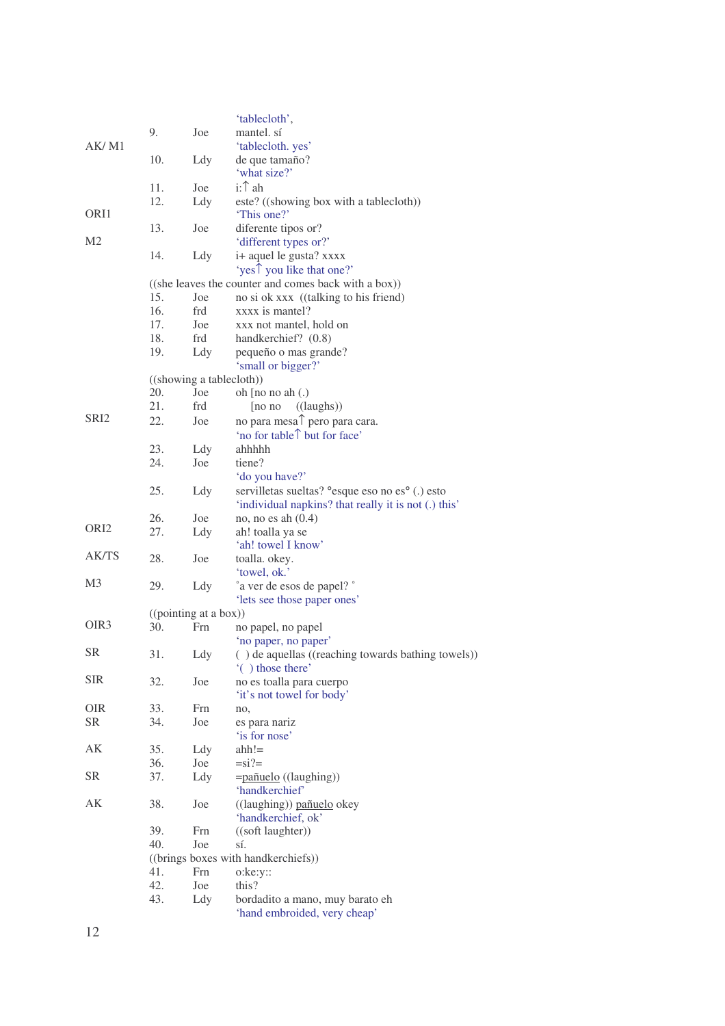|                  |            |                          | 'tablecloth',                                                 |
|------------------|------------|--------------------------|---------------------------------------------------------------|
|                  | 9.         | Joe                      | mantel. sí                                                    |
| AK/M1            |            |                          | 'tablecloth. yes'                                             |
|                  | 10.        | Ldy                      | de que tamaño?                                                |
|                  |            |                          | 'what size?'                                                  |
|                  | 11.        | Joe                      | i:1 ah                                                        |
|                  | 12.        | Ldy                      | este? ((showing box with a tablecloth))                       |
| ORI1             |            |                          | 'This one?'                                                   |
|                  | 13.        | Joe                      | diferente tipos or?                                           |
| M <sub>2</sub>   |            |                          | 'different types or?'                                         |
|                  | 14.        | Ldy                      | i+ aquel le gusta? xxxx                                       |
|                  |            |                          | 'yes <sup>t</sup> you like that one?'                         |
|                  |            |                          | ((she leaves the counter and comes back with a box))          |
|                  | 15.        | Joe                      | no si ok xxx ((talking to his friend)                         |
|                  | 16.<br>17. | frd                      | xxxx is mantel?                                               |
|                  | 18.        | Joe<br>frd               | xxx not mantel, hold on<br>handkerchief? (0.8)                |
|                  | 19.        | Ldy                      | pequeño o mas grande?                                         |
|                  |            |                          | 'small or bigger?'                                            |
|                  |            | ((showing a tablecloth)) |                                                               |
|                  | 20.        | Joe                      | oh [no no ah (.)                                              |
|                  | 21.        | frd                      | ((laughs))<br>$[no\;no$                                       |
| SRI <sub>2</sub> | 22.        | Joe                      | no para mesa <sup><math>\uparrow</math></sup> pero para cara. |
|                  |            |                          | 'no for table tut for face'                                   |
|                  | 23.        | Ldy                      | ahhhhh                                                        |
|                  | 24.        | Joe                      | tiene?                                                        |
|                  |            |                          | 'do you have?'                                                |
|                  | 25.        | Ldy                      | servilletas sueltas? ° esque eso no es° (.) esto              |
|                  |            |                          | 'individual napkins? that really it is not (.) this'          |
| ORI <sub>2</sub> | 26.        | Joe                      | no, no es ah $(0.4)$                                          |
|                  | 27.        | Ldy                      | ah! toalla ya se                                              |
| <b>AK/TS</b>     |            |                          | 'ah! towel I know'                                            |
|                  | 28.        | Joe                      | toalla. okey.<br>'towel, ok.'                                 |
| M3               | 29.        | Ldy                      | ° a ver de esos de papel? °                                   |
|                  |            |                          | 'lets see those paper ones'                                   |
|                  |            | ((pointing at a box))    |                                                               |
| OIR <sub>3</sub> | 30.        | Frn                      | no papel, no papel                                            |
|                  |            |                          | 'no paper, no paper'                                          |
| <b>SR</b>        | 31.        | Ldy                      | () de aquellas ((reaching towards bathing towels))            |
|                  |            |                          | "() those there"                                              |
| <b>SIR</b>       | 32.        | Joe                      | no es toalla para cuerpo                                      |
|                  |            |                          | 'it's not towel for body'                                     |
| <b>OIR</b>       | 33.        | Frn                      | no,                                                           |
| <b>SR</b>        | 34.        | Joe                      | es para nariz                                                 |
|                  |            |                          | 'is for nose'                                                 |
| AK               | 35.        | Ldy                      | $ahh!=$                                                       |
| <b>SR</b>        | 36.<br>37. | Joe<br>Ldy               | $=si?=$                                                       |
|                  |            |                          | =pañuelo ((laughing))<br>'handkerchief'                       |
| AK               | 38.        | Joe                      | ((laughing)) pañuelo okey                                     |
|                  |            |                          | 'handkerchief, ok'                                            |
|                  | 39.        | Frn                      | ((soft laughter))                                             |
|                  | 40.        | Joe                      | sí.                                                           |
|                  |            |                          | ((brings boxes with handkerchiefs))                           |
|                  | 41.        | Frn                      | $o:ke:yz$ :                                                   |
|                  | 42.        | Joe                      | this?                                                         |
|                  | 43.        | Ldy                      | bordadito a mano, muy barato eh                               |
|                  |            |                          | 'hand embroided, very cheap'                                  |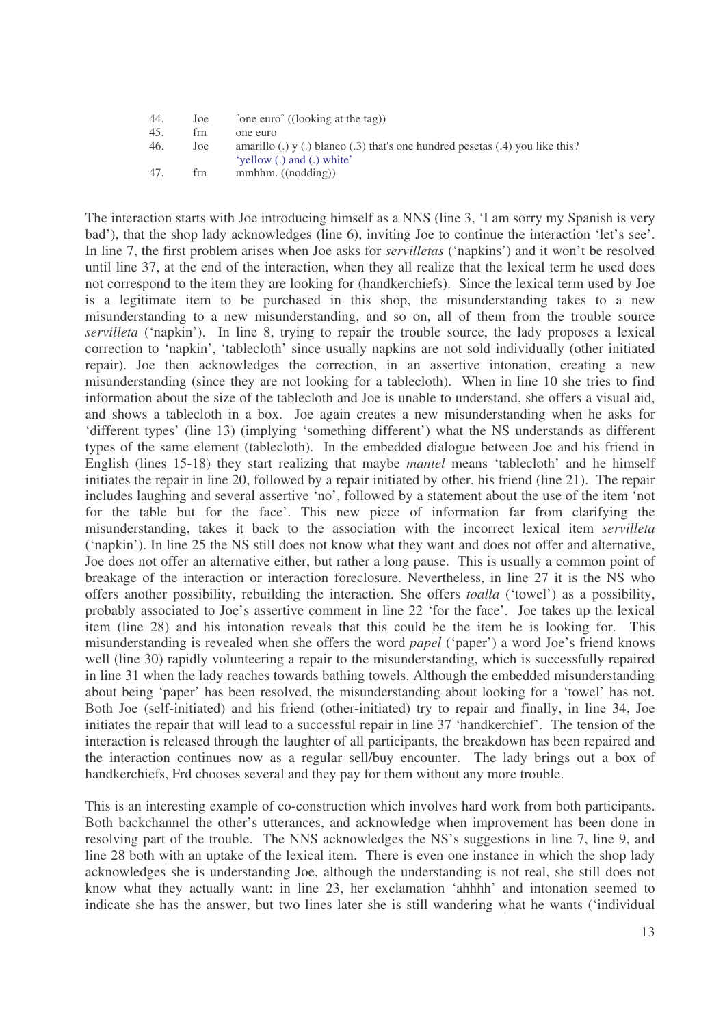| 44. | Joe | $\degree$ one euro $\degree$ ((looking at the tag))                                                               |
|-----|-----|-------------------------------------------------------------------------------------------------------------------|
| 45. | frn | one euro                                                                                                          |
| 46. | Joe | amarillo (.) $y$ (.) blanco (.3) that's one hundred pesetas (.4) you like this?<br>'vellow $(.)$ and $(.)$ white' |
| 47. | frn | $mwhhm.$ ((nodding))                                                                                              |

The interaction starts with Joe introducing himself as a NNS (line 3, 'I am sorry my Spanish is very bad'), that the shop lady acknowledges (line 6), inviting Joe to continue the interaction 'let's see'. In line 7, the first problem arises when Joe asks for *servilletas* ('napkins') and it won't be resolved until line 37, at the end of the interaction, when they all realize that the lexical term he used does not correspond to the item they are looking for (handkerchiefs). Since the lexical term used by Joe is a legitimate item to be purchased in this shop, the misunderstanding takes to a new misunderstanding to a new misunderstanding, and so on, all of them from the trouble source *servilleta* ('napkin'). In line 8, trying to repair the trouble source, the lady proposes a lexical correction to 'napkin', 'tablecloth' since usually napkins are not sold individually (other initiated repair). Joe then acknowledges the correction, in an assertive intonation, creating a new misunderstanding (since they are not looking for a tablecloth). When in line 10 she tries to find information about the size of the tablecloth and Joe is unable to understand, she offers a visual aid, and shows a tablecloth in a box. Joe again creates a new misunderstanding when he asks for 'different types' (line 13) (implying 'something different') what the NS understands as different types of the same element (tablecloth). In the embedded dialogue between Joe and his friend in English (lines 15-18) they start realizing that maybe *mantel* means 'tablecloth' and he himself initiates the repair in line 20, followed by a repair initiated by other, his friend (line 21). The repair includes laughing and several assertive 'no', followed by a statement about the use of the item 'not for the table but for the face'. This new piece of information far from clarifying the misunderstanding, takes it back to the association with the incorrect lexical item *servilleta* ('napkin'). In line 25 the NS still does not know what they want and does not offer and alternative, Joe does not offer an alternative either, but rather a long pause. This is usually a common point of breakage of the interaction or interaction foreclosure. Nevertheless, in line 27 it is the NS who offers another possibility, rebuilding the interaction. She offers *toalla* ('towel') as a possibility, probably associated to Joe's assertive comment in line 22 'for the face'. Joe takes up the lexical item (line 28) and his intonation reveals that this could be the item he is looking for. This misunderstanding is revealed when she offers the word *papel* ('paper') a word Joe's friend knows well (line 30) rapidly volunteering a repair to the misunderstanding, which is successfully repaired in line 31 when the lady reaches towards bathing towels. Although the embedded misunderstanding about being 'paper' has been resolved, the misunderstanding about looking for a 'towel' has not. Both Joe (self-initiated) and his friend (other-initiated) try to repair and finally, in line 34, Joe initiates the repair that will lead to a successful repair in line 37 'handkerchief'. The tension of the interaction is released through the laughter of all participants, the breakdown has been repaired and the interaction continues now as a regular sell/buy encounter. The lady brings out a box of handkerchiefs, Frd chooses several and they pay for them without any more trouble.

This is an interesting example of co-construction which involves hard work from both participants. Both backchannel the other's utterances, and acknowledge when improvement has been done in resolving part of the trouble. The NNS acknowledges the NS's suggestions in line 7, line 9, and line 28 both with an uptake of the lexical item. There is even one instance in which the shop lady acknowledges she is understanding Joe, although the understanding is not real, she still does not know what they actually want: in line 23, her exclamation 'ahhhh' and intonation seemed to indicate she has the answer, but two lines later she is still wandering what he wants ('individual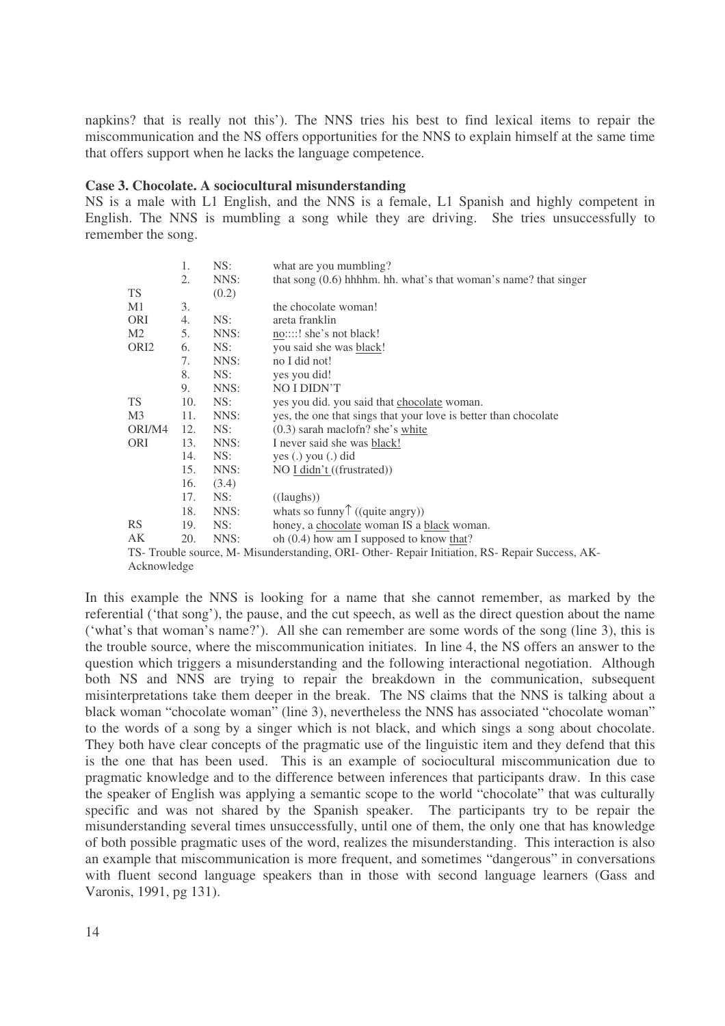napkins? that is really not this'). The NNS tries his best to find lexical items to repair the miscommunication and the NS offers opportunities for the NNS to explain himself at the same time that offers support when he lacks the language competence.

#### **Case 3. Chocolate. A sociocultural misunderstanding**

NS is a male with L1 English, and the NNS is a female, L1 Spanish and highly competent in English. The NNS is mumbling a song while they are driving. She tries unsuccessfully to remember the song.

|                  | 1.  | NS:   | what are you mumbling?                                                                          |
|------------------|-----|-------|-------------------------------------------------------------------------------------------------|
|                  | 2.  | NNS:  | that song $(0.6)$ hhhhm. hh. what's that woman's name? that singer                              |
| <b>TS</b>        |     | (0.2) |                                                                                                 |
| M1               | 3.  |       | the chocolate woman!                                                                            |
| ORI              | 4.  | NS:   | areta franklin                                                                                  |
| M <sub>2</sub>   | 5.  | NNS:  | no::::! she's not black!                                                                        |
| ORI <sub>2</sub> | 6.  | NS:   | you said she was black!                                                                         |
|                  | 7.  | NNS:  | no I did not!                                                                                   |
|                  | 8.  | NS:   | yes you did!                                                                                    |
|                  | 9.  | NNS:  | NO I DIDN'T                                                                                     |
| <b>TS</b>        | 10. | NS:   | yes you did. you said that chocolate woman.                                                     |
| M <sub>3</sub>   | 11. | NNS:  | yes, the one that sings that your love is better than chocolate                                 |
| ORI/M4           | 12. | NS:   | $(0.3)$ sarah maclofn? she's white                                                              |
| <b>ORI</b>       | 13. | NNS:  | I never said she was black!                                                                     |
|                  | 14. | NS:   | yes $(.)$ you $(.)$ did                                                                         |
|                  | 15. | NNS:  | NO I didn't ((frustrated))                                                                      |
|                  | 16. | (3.4) |                                                                                                 |
|                  | 17. | NS:   | $((\text{laughs}))$                                                                             |
|                  | 18. | NNS:  | whats so funny $\hat{ }$ ((quite angry))                                                        |
| <b>RS</b>        | 19. | NS:   | honey, a chocolate woman IS a black woman.                                                      |
| AK               | 20. | NNS:  | oh $(0.4)$ how am I supposed to know that?                                                      |
|                  |     |       | TS- Trouble source, M- Misunderstanding, ORI- Other- Repair Initiation, RS- Repair Success, AK- |

Acknowledge

In this example the NNS is looking for a name that she cannot remember, as marked by the referential ('that song'), the pause, and the cut speech, as well as the direct question about the name ('what's that woman's name?'). All she can remember are some words of the song (line 3), this is the trouble source, where the miscommunication initiates. In line 4, the NS offers an answer to the question which triggers a misunderstanding and the following interactional negotiation. Although both NS and NNS are trying to repair the breakdown in the communication, subsequent misinterpretations take them deeper in the break. The NS claims that the NNS is talking about a black woman "chocolate woman" (line 3), nevertheless the NNS has associated "chocolate woman" to the words of a song by a singer which is not black, and which sings a song about chocolate. They both have clear concepts of the pragmatic use of the linguistic item and they defend that this is the one that has been used. This is an example of sociocultural miscommunication due to pragmatic knowledge and to the difference between inferences that participants draw. In this case the speaker of English was applying a semantic scope to the world "chocolate" that was culturally specific and was not shared by the Spanish speaker. The participants try to be repair the misunderstanding several times unsuccessfully, until one of them, the only one that has knowledge of both possible pragmatic uses of the word, realizes the misunderstanding. This interaction is also an example that miscommunication is more frequent, and sometimes "dangerous" in conversations with fluent second language speakers than in those with second language learners (Gass and Varonis, 1991, pg 131).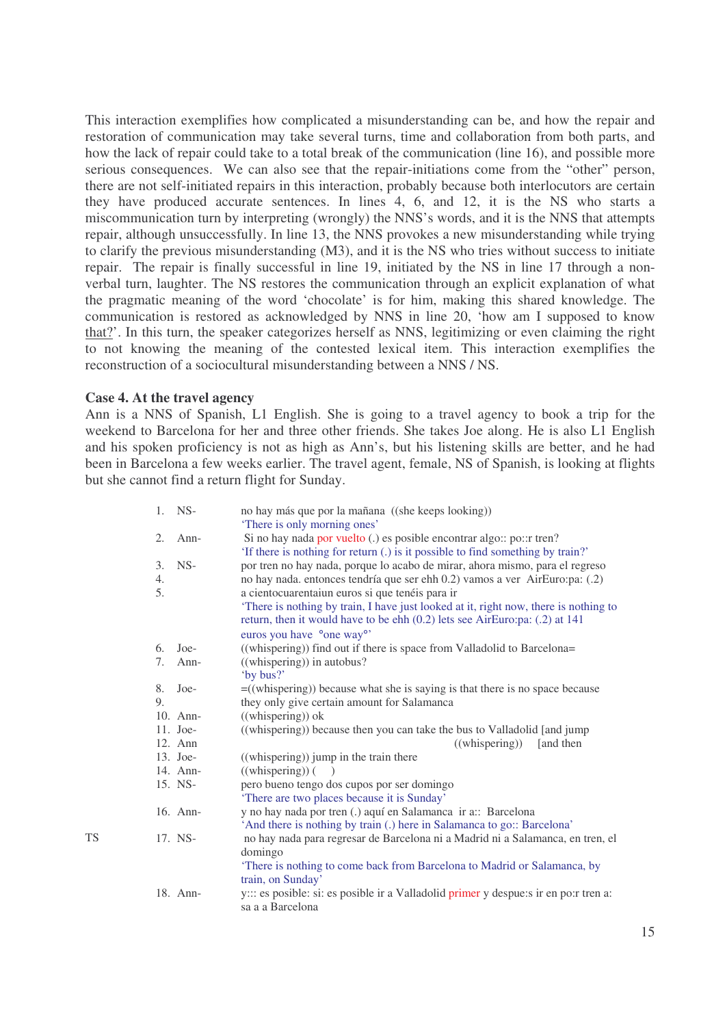This interaction exemplifies how complicated a misunderstanding can be, and how the repair and restoration of communication may take several turns, time and collaboration from both parts, and how the lack of repair could take to a total break of the communication (line 16), and possible more serious consequences. We can also see that the repair-initiations come from the "other" person, there are not self-initiated repairs in this interaction, probably because both interlocutors are certain they have produced accurate sentences. In lines 4, 6, and 12, it is the NS who starts a miscommunication turn by interpreting (wrongly) the NNS's words, and it is the NNS that attempts repair, although unsuccessfully. In line 13, the NNS provokes a new misunderstanding while trying to clarify the previous misunderstanding (M3), and it is the NS who tries without success to initiate repair. The repair is finally successful in line 19, initiated by the NS in line 17 through a nonverbal turn, laughter. The NS restores the communication through an explicit explanation of what the pragmatic meaning of the word 'chocolate' is for him, making this shared knowledge. The communication is restored as acknowledged by NNS in line 20, 'how am I supposed to know that?'. In this turn, the speaker categorizes herself as NNS, legitimizing or even claiming the right to not knowing the meaning of the contested lexical item. This interaction exemplifies the reconstruction of a sociocultural misunderstanding between a NNS / NS.

## **Case 4. At the travel agency**

Ann is a NNS of Spanish, L1 English. She is going to a travel agency to book a trip for the weekend to Barcelona for her and three other friends. She takes Joe along. He is also L1 English and his spoken proficiency is not as high as Ann's, but his listening skills are better, and he had been in Barcelona a few weeks earlier. The travel agent, female, NS of Spanish, is looking at flights but she cannot find a return flight for Sunday.

| 1. | $NS-$      | no hay más que por la mañana ((she keeps looking))                                    |
|----|------------|---------------------------------------------------------------------------------------|
|    |            | 'There is only morning ones'                                                          |
| 2. | $Ann-$     | Si no hay nada por vuelto (.) es posible encontrar algo:: po::r tren?                 |
|    |            | 'If there is nothing for return (.) is it possible to find something by train?'       |
| 3. | $NS-$      | por tren no hay nada, porque lo acabo de mirar, ahora mismo, para el regreso          |
| 4. |            | no hay nada. entonces tendría que ser ehh 0.2) vamos a ver AirEuro:pa: (.2)           |
| 5. |            | a cientocuarentaiun euros si que tenéis para ir                                       |
|    |            | 'There is nothing by train, I have just looked at it, right now, there is nothing to  |
|    |            | return, then it would have to be ehh (0.2) lets see AirEuro:pa: (.2) at 141           |
|    |            | euros you have °one way°'                                                             |
| 6. | $Joe-$     | ((whispering)) find out if there is space from Valladolid to Barcelona=               |
| 7. | Ann-       | ((whispering)) in autobus?                                                            |
|    |            | 'by bus?'                                                                             |
| 8. | $Joe-$     | $=$ ((whispering)) because what she is saying is that there is no space because       |
| 9. |            | they only give certain amount for Salamanca                                           |
|    | 10. Ann-   | ((whispering)) ok                                                                     |
|    | $11.$ Joe- | ((whispering)) because then you can take the bus to Valladolid [and jump              |
|    | 12. Ann    | ((whispering))<br>[and then]                                                          |
|    | 13. Joe-   | ((whispering)) jump in the train there                                                |
|    | 14. Ann-   | ((whispering))                                                                        |
|    | 15. NS-    | pero bueno tengo dos cupos por ser domingo                                            |
|    |            | 'There are two places because it is Sunday'                                           |
|    | 16. Ann-   | y no hay nada por tren (.) aquí en Salamanca ir a:: Barcelona                         |
|    |            | 'And there is nothing by train (.) here in Salamanca to go:: Barcelona'               |
|    | 17. NS-    | no hay nada para regresar de Barcelona ni a Madrid ni a Salamanca, en tren, el        |
|    |            | domingo                                                                               |
|    |            | 'There is nothing to come back from Barcelona to Madrid or Salamanca, by              |
|    |            | train, on Sunday'                                                                     |
|    | 18. Ann-   | y::: es posible: si: es posible ir a Valladolid primer y despue: sir en po: r tren a: |
|    |            | sa a a Barcelona                                                                      |
|    |            |                                                                                       |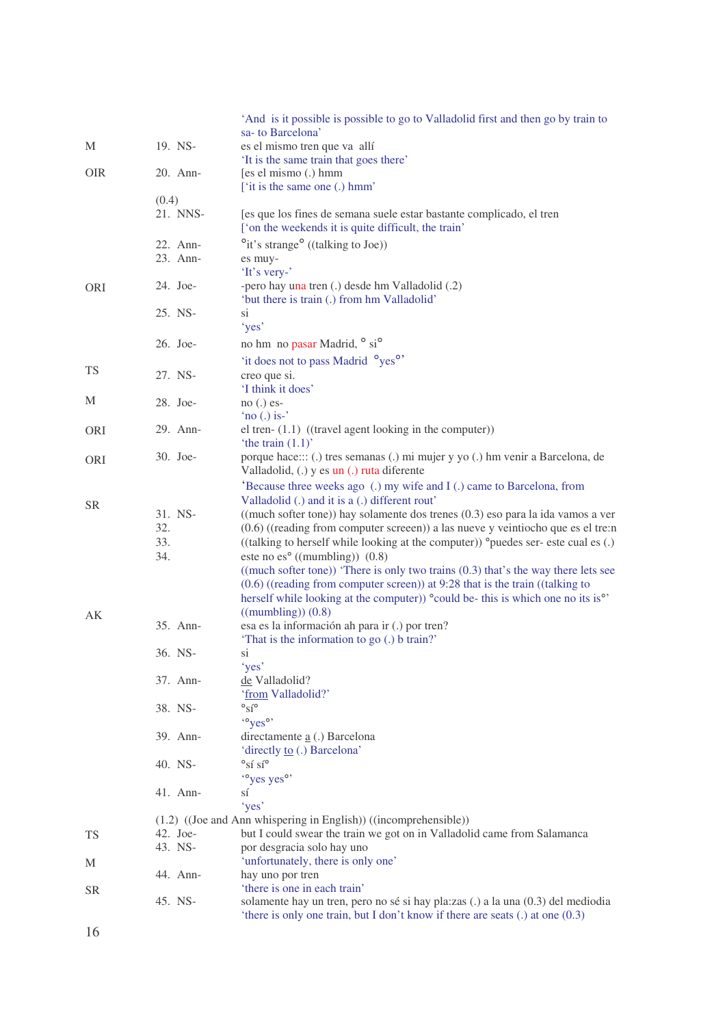|            |          | And is it possible is possible to go to Valladolid first and then go by train to                                            |
|------------|----------|-----------------------------------------------------------------------------------------------------------------------------|
|            |          | sa- to Barcelona'                                                                                                           |
| M          | 19. NS-  | es el mismo tren que va allí                                                                                                |
|            |          | 'It is the same train that goes there'                                                                                      |
| <b>OIR</b> | 20. Ann- | [es el mismo (.) hmm<br>['it is the same one (.) hmm'                                                                       |
|            | (0.4)    |                                                                                                                             |
|            | 21. NNS- | [es que los fines de semana suele estar bastante complicado, el tren<br>['on the weekends it is quite difficult, the train' |
|            | 22. Ann- | $\degree$ it's strange $\degree$ ((talking to Joe))                                                                         |
|            | 23. Ann- | es muy-<br>'It's very-'                                                                                                     |
| <b>ORI</b> | 24. Joe- | -pero hay una tren (.) desde hm Valladolid (.2)<br>'but there is train (.) from hm Valladolid'                              |
|            | 25. NS-  | si<br>'yes'                                                                                                                 |
|            | 26. Joe- | no hm no pasar Madrid, ° si <sup>o</sup>                                                                                    |
|            |          |                                                                                                                             |
| <b>TS</b>  |          | 'it does not to pass Madrid <sup>o</sup> yes <sup>o</sup> '                                                                 |
|            | 27. NS-  | creo que si.<br>'I think it does'                                                                                           |
| M          | 28. Joe- |                                                                                                                             |
|            |          | $no(.)$ es-<br>'no $(.)$ is-'                                                                                               |
| <b>ORI</b> | 29. Ann- | el tren- $(1.1)$ ((travel agent looking in the computer))                                                                   |
|            |          | 'the train $(1.1)$ '                                                                                                        |
|            | 30. Joe- | porque hace::: (.) tres semanas (.) mi mujer y yo (.) hm venir a Barcelona, de                                              |
| ORI        |          | Valladolid, (.) y es un (.) ruta diferente                                                                                  |
|            |          | 'Because three weeks ago (.) my wife and I (.) came to Barcelona, from                                                      |
|            |          | Valladolid (.) and it is a (.) different rout'                                                                              |
| <b>SR</b>  | 31. NS-  | ((much softer tone)) hay solamente dos trenes (0.3) eso para la ida vamos a ver                                             |
|            | 32.      | $(0.6)$ ((reading from computer screeen)) a las nueve y veintiocho que es el tre:n                                          |
|            | 33.      | ((talking to herself while looking at the computer)) °puedes ser- este cual es (.)                                          |
|            | 34.      | este no es $°$ ((mumbling)) $(0.8)$                                                                                         |
|            |          | $((much softer tone))$ 'There is only two trains $(0.3)$ that's the way there lets see                                      |
|            |          | $(0.6)$ ((reading from computer screen)) at 9:28 that is the train ((talking to                                             |
|            |          | herself while looking at the computer)) <sup>o</sup> could be- this is which one no its is <sup>o</sup>                     |
| AK         |          | $((\text{mumbling}))$ $(0.8)$                                                                                               |
|            | 35. Ann- | esa es la información ah para ir (.) por tren?                                                                              |
|            |          | 'That is the information to go (.) b train?'                                                                                |
|            | 36. NS-  | si                                                                                                                          |
|            |          | 'yes'                                                                                                                       |
|            | 37. Ann- | de Valladolid?                                                                                                              |
|            |          | 'from Valladolid?'                                                                                                          |
|            | 38. NS-  | $\circ$ sí $\circ$                                                                                                          |
|            |          | "yes"                                                                                                                       |
|            | 39. Ann- | directamente <b>a</b> (.) Barcelona                                                                                         |
|            |          | 'directly to (.) Barcelona'                                                                                                 |
|            | 40. NS-  | $\mathrm{{}^{\circ}Si}$ sí $\mathrm{{}^{\circ}}$                                                                            |
|            |          | "yes yes"                                                                                                                   |
|            | 41. Ann- | sí                                                                                                                          |
|            |          | 'yes'                                                                                                                       |
|            |          | (1.2) ((Joe and Ann whispering in English)) ((incomprehensible))                                                            |
| <b>TS</b>  | 42. Joe- | but I could swear the train we got on in Valladolid came from Salamanca                                                     |
|            | 43. NS-  | por desgracia solo hay uno                                                                                                  |
| М          |          | 'unfortunately, there is only one'                                                                                          |
|            | 44. Ann- | hay uno por tren<br>'there is one in each train'                                                                            |
| <b>SR</b>  | 45. NS-  | solamente hay un tren, pero no sé si hay pla: zas (.) a la una (0.3) del mediodia                                           |
|            |          | 'there is only one train, but I don't know if there are seats $(.)$ at one $(0.3)$                                          |
|            |          |                                                                                                                             |
| 16         |          |                                                                                                                             |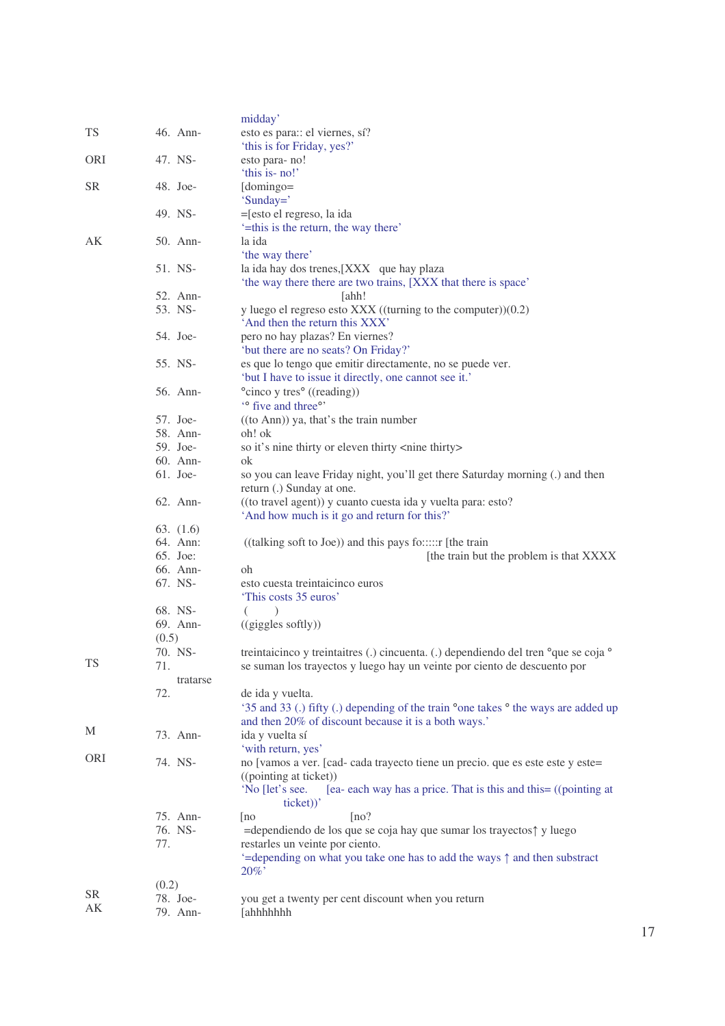|           |                     | midday'                                                                                                                                                                                |
|-----------|---------------------|----------------------------------------------------------------------------------------------------------------------------------------------------------------------------------------|
| <b>TS</b> | 46. Ann-            | esto es para: el viernes, sí?                                                                                                                                                          |
|           |                     | 'this is for Friday, yes?'                                                                                                                                                             |
| ORI       | 47. NS-             | esto para-no!                                                                                                                                                                          |
|           |                     | 'this is- no!'                                                                                                                                                                         |
| <b>SR</b> | 48. Joe-            | [domingo=                                                                                                                                                                              |
|           |                     | 'Sunday='                                                                                                                                                                              |
|           | 49. NS-             | = [esto el regreso, la ida                                                                                                                                                             |
|           |                     | '=this is the return, the way there'                                                                                                                                                   |
| AK        | 50. Ann-            | la ida                                                                                                                                                                                 |
|           | 51. NS-             | 'the way there'<br>la ida hay dos trenes,[XXX que hay plaza                                                                                                                            |
|           |                     | 'the way there there are two trains, [XXX that there is space'                                                                                                                         |
|           | 52. Ann-            | [ahh!                                                                                                                                                                                  |
|           | 53. NS-             | y luego el regreso esto $XXX$ ((turning to the computer))(0.2)                                                                                                                         |
|           |                     | 'And then the return this XXX'                                                                                                                                                         |
|           | 54. Joe-            | pero no hay plazas? En viernes?                                                                                                                                                        |
|           |                     | 'but there are no seats? On Friday?'                                                                                                                                                   |
|           | 55. NS-             | es que lo tengo que emitir directamente, no se puede ver.                                                                                                                              |
|           |                     | 'but I have to issue it directly, one cannot see it.'                                                                                                                                  |
|           | 56. Ann-            | °cinco y tres° ((reading))                                                                                                                                                             |
|           |                     | " five and three"                                                                                                                                                                      |
|           | 57. Joe-            | $((to Ann))$ ya, that's the train number                                                                                                                                               |
|           | 58. Ann-            | oh! ok                                                                                                                                                                                 |
|           | 59. Joe-            | so it's nine thirty or eleven thirty <nine thirty=""></nine>                                                                                                                           |
|           | 60. Ann-            | ok                                                                                                                                                                                     |
|           | $61.$ Joe-          | so you can leave Friday night, you'll get there Saturday morning (.) and then                                                                                                          |
|           |                     | return (.) Sunday at one.                                                                                                                                                              |
|           | 62. Ann-            | ((to travel agent)) y cuanto cuesta ida y vuelta para: esto?<br>'And how much is it go and return for this?'                                                                           |
|           | 63. $(1.6)$         |                                                                                                                                                                                        |
|           | 64. Ann:            | $((talking soft to Joe))$ and this pays fo:::::r [the train]                                                                                                                           |
|           | $65.$ Joe:          | [the train but the problem is that XXXX                                                                                                                                                |
|           | 66. Ann-            | oh                                                                                                                                                                                     |
|           | 67. NS-             | esto cuesta treintaicinco euros                                                                                                                                                        |
|           |                     | 'This costs 35 euros'                                                                                                                                                                  |
|           | 68. NS-<br>69. Ann- | $\lambda$                                                                                                                                                                              |
|           | (0.5)               | $((giggles \,softly))$                                                                                                                                                                 |
|           | 70. NS-             |                                                                                                                                                                                        |
| TS        | 71.                 | treintaicinco y treintaitres (.) cincuenta. (.) dependiendo del tren <sup>o</sup> que se coja <sup>o</sup><br>se suman los trayectos y luego hay un veinte por ciento de descuento por |
|           | tratarse            |                                                                                                                                                                                        |
|           | 72.                 | de ida y vuelta.                                                                                                                                                                       |
|           |                     | '35 and 33 (.) fifty (.) depending of the train °one takes ° the ways are added up                                                                                                     |
|           |                     | and then 20% of discount because it is a both ways.'                                                                                                                                   |
| M         | 73. Ann-            | ida y vuelta sí                                                                                                                                                                        |
|           |                     | 'with return, yes'                                                                                                                                                                     |
| ORI       | 74. NS-             | no [vamos a ver. [cad- cada trayecto tiene un precio. que es este este y este=                                                                                                         |
|           |                     | ((pointing at ticket))                                                                                                                                                                 |
|           |                     | 'No [let's see.<br>[ea- each way has a price. That is this and this= ((pointing at                                                                                                     |
|           |                     | ticket))'                                                                                                                                                                              |
|           | 75. Ann-            | [no?<br>[no]                                                                                                                                                                           |
|           | 76. NS-             | =dependiendo de los que se coja hay que sumar los trayectos $\uparrow$ y luego                                                                                                         |
|           | 77.                 | restarles un veinte por ciento.                                                                                                                                                        |
|           |                     | '=depending on what you take one has to add the ways $\uparrow$ and then substract                                                                                                     |
|           |                     | $20\%$                                                                                                                                                                                 |
| <b>SR</b> | (0.2)               |                                                                                                                                                                                        |
| AK        | 78. Joe-            | you get a twenty per cent discount when you return                                                                                                                                     |
|           | 79. Ann-            | [ahhhhhhh                                                                                                                                                                              |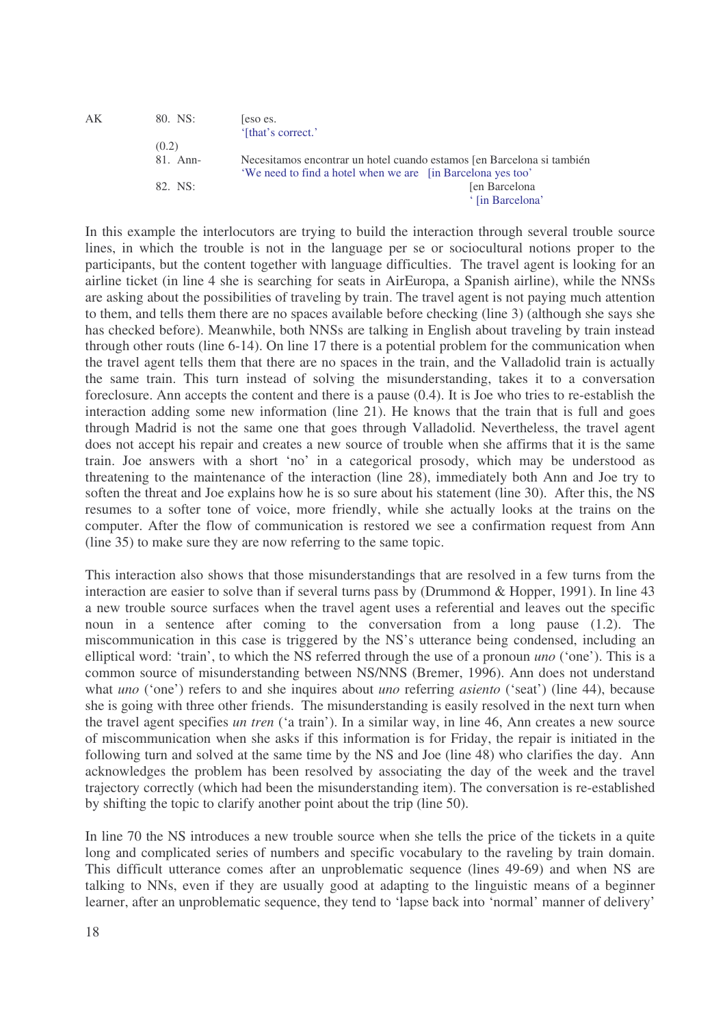| AΚ | 80. NS:  | eso es.                                                                |
|----|----------|------------------------------------------------------------------------|
|    |          | '[that's correct.']                                                    |
|    | (0.2)    |                                                                        |
|    | 81. Ann- | Necesitamos encontrar un hotel cuando estamos [en Barcelona si también |
|    |          | 'We need to find a hotel when we are [in Barcelona yes too'            |
|    | 82. NS:  | Jen Barcelona                                                          |
|    |          | ' [in Barcelona'                                                       |

In this example the interlocutors are trying to build the interaction through several trouble source lines, in which the trouble is not in the language per se or sociocultural notions proper to the participants, but the content together with language difficulties. The travel agent is looking for an airline ticket (in line 4 she is searching for seats in AirEuropa, a Spanish airline), while the NNSs are asking about the possibilities of traveling by train. The travel agent is not paying much attention to them, and tells them there are no spaces available before checking (line 3) (although she says she has checked before). Meanwhile, both NNSs are talking in English about traveling by train instead through other routs (line 6-14). On line 17 there is a potential problem for the communication when the travel agent tells them that there are no spaces in the train, and the Valladolid train is actually the same train. This turn instead of solving the misunderstanding, takes it to a conversation foreclosure. Ann accepts the content and there is a pause (0.4). It is Joe who tries to re-establish the interaction adding some new information (line 21). He knows that the train that is full and goes through Madrid is not the same one that goes through Valladolid. Nevertheless, the travel agent does not accept his repair and creates a new source of trouble when she affirms that it is the same train. Joe answers with a short 'no' in a categorical prosody, which may be understood as threatening to the maintenance of the interaction (line 28), immediately both Ann and Joe try to soften the threat and Joe explains how he is so sure about his statement (line 30). After this, the NS resumes to a softer tone of voice, more friendly, while she actually looks at the trains on the computer. After the flow of communication is restored we see a confirmation request from Ann (line 35) to make sure they are now referring to the same topic.

This interaction also shows that those misunderstandings that are resolved in a few turns from the interaction are easier to solve than if several turns pass by (Drummond & Hopper, 1991). In line 43 a new trouble source surfaces when the travel agent uses a referential and leaves out the specific noun in a sentence after coming to the conversation from a long pause (1.2). The miscommunication in this case is triggered by the NS's utterance being condensed, including an elliptical word: 'train', to which the NS referred through the use of a pronoun *uno* ('one'). This is a common source of misunderstanding between NS/NNS (Bremer, 1996). Ann does not understand what *uno* ('one') refers to and she inquires about *uno* referring *asiento* ('seat') (line 44), because she is going with three other friends. The misunderstanding is easily resolved in the next turn when the travel agent specifies *un tren* ('a train'). In a similar way, in line 46, Ann creates a new source of miscommunication when she asks if this information is for Friday, the repair is initiated in the following turn and solved at the same time by the NS and Joe (line 48) who clarifies the day. Ann acknowledges the problem has been resolved by associating the day of the week and the travel trajectory correctly (which had been the misunderstanding item). The conversation is re-established by shifting the topic to clarify another point about the trip (line 50).

In line 70 the NS introduces a new trouble source when she tells the price of the tickets in a quite long and complicated series of numbers and specific vocabulary to the raveling by train domain. This difficult utterance comes after an unproblematic sequence (lines 49-69) and when NS are talking to NNs, even if they are usually good at adapting to the linguistic means of a beginner learner, after an unproblematic sequence, they tend to 'lapse back into 'normal' manner of delivery'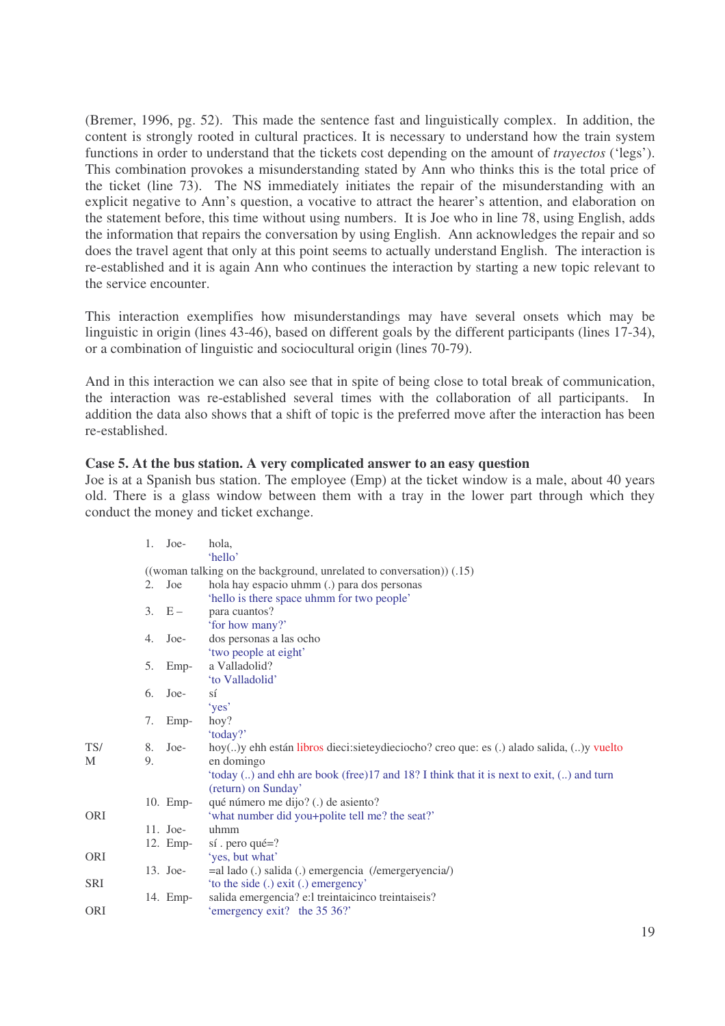(Bremer, 1996, pg. 52). This made the sentence fast and linguistically complex. In addition, the content is strongly rooted in cultural practices. It is necessary to understand how the train system functions in order to understand that the tickets cost depending on the amount of *trayectos* ('legs'). This combination provokes a misunderstanding stated by Ann who thinks this is the total price of the ticket (line 73). The NS immediately initiates the repair of the misunderstanding with an explicit negative to Ann's question, a vocative to attract the hearer's attention, and elaboration on the statement before, this time without using numbers. It is Joe who in line 78, using English, adds the information that repairs the conversation by using English. Ann acknowledges the repair and so does the travel agent that only at this point seems to actually understand English. The interaction is re-established and it is again Ann who continues the interaction by starting a new topic relevant to the service encounter.

This interaction exemplifies how misunderstandings may have several onsets which may be linguistic in origin (lines 43-46), based on different goals by the different participants (lines 17-34), or a combination of linguistic and sociocultural origin (lines 70-79).

And in this interaction we can also see that in spite of being close to total break of communication, the interaction was re-established several times with the collaboration of all participants. In addition the data also shows that a shift of topic is the preferred move after the interaction has been re-established.

# **Case 5. At the bus station. A very complicated answer to an easy question**

Joe is at a Spanish bus station. The employee (Emp) at the ticket window is a male, about 40 years old. There is a glass window between them with a tray in the lower part through which they conduct the money and ticket exchange.

|            | 1.                                                                   | Joe-       | hola,                                                                                        |  |  |  |
|------------|----------------------------------------------------------------------|------------|----------------------------------------------------------------------------------------------|--|--|--|
|            |                                                                      |            | 'hello'                                                                                      |  |  |  |
|            | ((woman talking on the background, unrelated to conversation)) (.15) |            |                                                                                              |  |  |  |
|            | 2.                                                                   | Joe        | hola hay espacio uhmm (.) para dos personas                                                  |  |  |  |
|            |                                                                      |            | 'hello is there space uhmm for two people'                                                   |  |  |  |
|            |                                                                      | $3. E -$   | para cuantos?                                                                                |  |  |  |
|            |                                                                      |            | 'for how many?'                                                                              |  |  |  |
|            | 4.                                                                   | Joe-       | dos personas a las ocho                                                                      |  |  |  |
|            |                                                                      |            | 'two people at eight'                                                                        |  |  |  |
|            | 5.                                                                   | Emp-       | a Valladolid?                                                                                |  |  |  |
|            |                                                                      |            | 'to Valladolid'                                                                              |  |  |  |
|            | 6.                                                                   | Joe-       | sí                                                                                           |  |  |  |
|            |                                                                      |            | 'yes'                                                                                        |  |  |  |
|            | 7.                                                                   | Emp-       | hoy?                                                                                         |  |  |  |
|            |                                                                      |            | 'today?'                                                                                     |  |  |  |
| TS/        | 8.                                                                   | Joe-       | hoy() y ehh están libros dieci: sietey dieciocho? creo que: es (.) alado salida, () y vuelto |  |  |  |
| М          | 9.                                                                   |            | en domingo                                                                                   |  |  |  |
|            |                                                                      |            | 'today () and ehh are book (free)17 and 18? I think that it is next to exit, () and turn     |  |  |  |
|            |                                                                      |            | (return) on Sunday'                                                                          |  |  |  |
|            |                                                                      | 10. Emp-   | qué número me dijo? (.) de asiento?                                                          |  |  |  |
| <b>ORI</b> |                                                                      |            | 'what number did you+polite tell me? the seat?'                                              |  |  |  |
|            |                                                                      | $11.$ Joe- | uhmm                                                                                         |  |  |  |
|            |                                                                      | 12. Emp-   | $s$ í. pero qué=?                                                                            |  |  |  |
| <b>ORI</b> |                                                                      |            | 'yes, but what'                                                                              |  |  |  |
|            |                                                                      | 13. Joe-   | =al lado (.) salida (.) emergencia (/emergeryencia/)                                         |  |  |  |
| <b>SRI</b> |                                                                      |            | 'to the side (.) exit (.) emergency'                                                         |  |  |  |
|            |                                                                      | 14. Emp-   | salida emergencia? e:l treintaicinco treintaiseis?                                           |  |  |  |
| <b>ORI</b> |                                                                      |            | 'emergency exit? the 35 36?'                                                                 |  |  |  |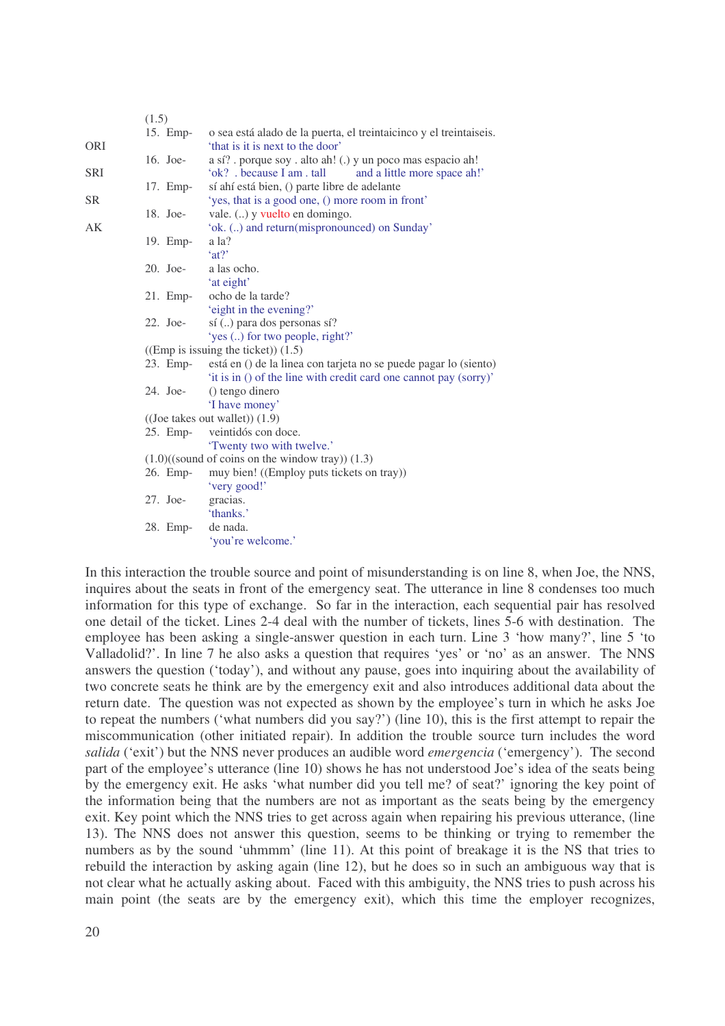|            | (1.5)                                                 |            |                                                                    |  |  |  |
|------------|-------------------------------------------------------|------------|--------------------------------------------------------------------|--|--|--|
|            |                                                       | 15. Emp-   | o sea está alado de la puerta, el treintaicinco y el treintaiseis. |  |  |  |
| <b>ORI</b> |                                                       |            | 'that is it is next to the door'                                   |  |  |  |
|            |                                                       | 16. Joe-   | a sí? . porque soy . alto ah! (.) y un poco mas espacio ah!        |  |  |  |
| <b>SRI</b> |                                                       |            | 'ok? . because I am . tall<br>and a little more space ah!'         |  |  |  |
|            |                                                       | 17. Emp-   | sí ahí está bien, () parte libre de adelante                       |  |  |  |
| <b>SR</b>  |                                                       |            | 'yes, that is a good one, () more room in front'                   |  |  |  |
|            |                                                       | 18. Joe-   | vale. () y vuelto en domingo.                                      |  |  |  |
| AK         |                                                       |            | 'ok. () and return(mispronounced) on Sunday'                       |  |  |  |
|            |                                                       | 19. Emp-   | a la?                                                              |  |  |  |
|            |                                                       |            | 'at?                                                               |  |  |  |
|            |                                                       | $20.$ Joe- | a las ocho.                                                        |  |  |  |
|            |                                                       |            | 'at eight'                                                         |  |  |  |
|            |                                                       | $21.$ Emp- | ocho de la tarde?                                                  |  |  |  |
|            |                                                       |            | 'eight in the evening?'                                            |  |  |  |
|            |                                                       | 22. Joe-   | sí () para dos personas sí?                                        |  |  |  |
|            |                                                       |            | 'yes () for two people, right?'                                    |  |  |  |
|            | $((Emp is issuing the ticket))$ (1.5)                 |            |                                                                    |  |  |  |
|            |                                                       | 23. Emp-   | está en () de la linea con tarjeta no se puede pagar lo (siento)   |  |  |  |
|            |                                                       |            | 'it is in () of the line with credit card one cannot pay (sorry)'  |  |  |  |
|            |                                                       | 24. Joe-   | () tengo dinero                                                    |  |  |  |
|            |                                                       |            | 'I have money'                                                     |  |  |  |
|            | $((\text{Joe takes out wallet})) (1.9)$               |            |                                                                    |  |  |  |
|            |                                                       | 25. Emp-   | veintidós con doce.                                                |  |  |  |
|            |                                                       |            | 'Twenty two with twelve.'                                          |  |  |  |
|            | $(1.0)$ ((sound of coins on the window tray)) $(1.3)$ |            |                                                                    |  |  |  |
|            |                                                       | 26. Emp-   | muy bien! ((Employ puts tickets on tray))                          |  |  |  |
|            |                                                       |            | 'very good!'                                                       |  |  |  |
|            |                                                       | $27.$ Joe- | gracias.                                                           |  |  |  |
|            |                                                       |            | 'thanks.'                                                          |  |  |  |
|            |                                                       | 28. Emp-   | de nada.                                                           |  |  |  |
|            |                                                       |            | 'you're welcome.'                                                  |  |  |  |

In this interaction the trouble source and point of misunderstanding is on line 8, when Joe, the NNS, inquires about the seats in front of the emergency seat. The utterance in line 8 condenses too much information for this type of exchange. So far in the interaction, each sequential pair has resolved one detail of the ticket. Lines 2-4 deal with the number of tickets, lines 5-6 with destination. The employee has been asking a single-answer question in each turn. Line 3 'how many?', line 5 'to Valladolid?'. In line 7 he also asks a question that requires 'yes' or 'no' as an answer. The NNS answers the question ('today'), and without any pause, goes into inquiring about the availability of two concrete seats he think are by the emergency exit and also introduces additional data about the return date. The question was not expected as shown by the employee's turn in which he asks Joe to repeat the numbers ('what numbers did you say?') (line 10), this is the first attempt to repair the miscommunication (other initiated repair). In addition the trouble source turn includes the word *salida* ('exit') but the NNS never produces an audible word *emergencia* ('emergency'). The second part of the employee's utterance (line 10) shows he has not understood Joe's idea of the seats being by the emergency exit. He asks 'what number did you tell me? of seat?' ignoring the key point of the information being that the numbers are not as important as the seats being by the emergency exit. Key point which the NNS tries to get across again when repairing his previous utterance, (line 13). The NNS does not answer this question, seems to be thinking or trying to remember the numbers as by the sound 'uhmmm' (line 11). At this point of breakage it is the NS that tries to rebuild the interaction by asking again (line 12), but he does so in such an ambiguous way that is not clear what he actually asking about. Faced with this ambiguity, the NNS tries to push across his main point (the seats are by the emergency exit), which this time the employer recognizes,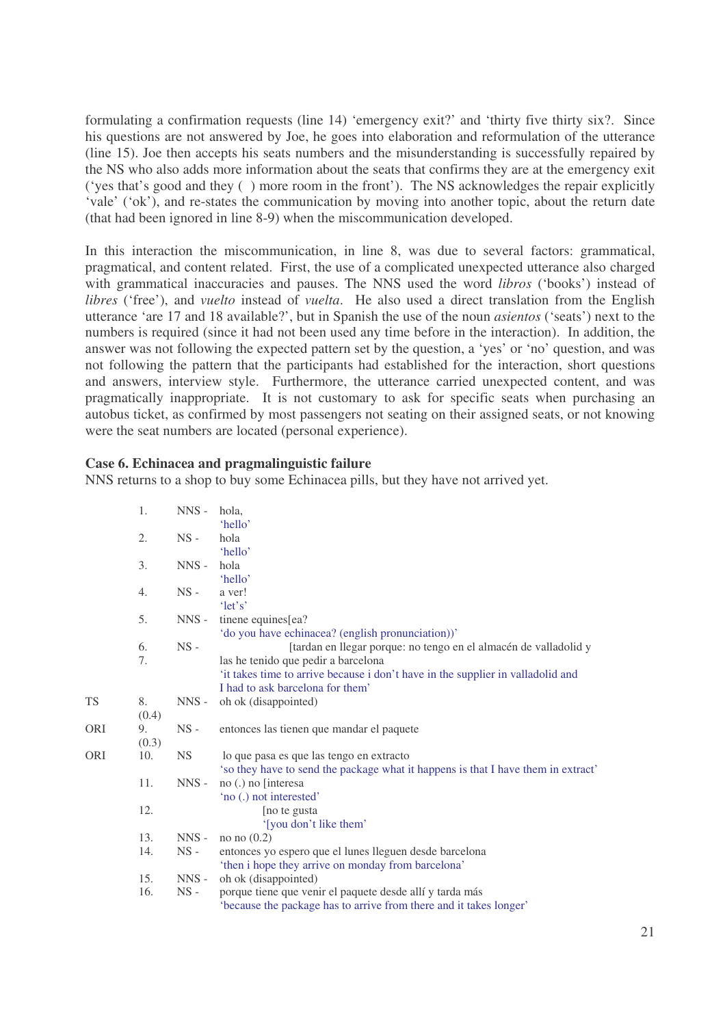formulating a confirmation requests (line 14) 'emergency exit?' and 'thirty five thirty six?. Since his questions are not answered by Joe, he goes into elaboration and reformulation of the utterance (line 15). Joe then accepts his seats numbers and the misunderstanding is successfully repaired by the NS who also adds more information about the seats that confirms they are at the emergency exit ('yes that's good and they ( ) more room in the front'). The NS acknowledges the repair explicitly 'vale' ('ok'), and re-states the communication by moving into another topic, about the return date (that had been ignored in line 8-9) when the miscommunication developed.

In this interaction the miscommunication, in line 8, was due to several factors: grammatical, pragmatical, and content related. First, the use of a complicated unexpected utterance also charged with grammatical inaccuracies and pauses. The NNS used the word *libros* ('books') instead of *libres* ('free'), and *vuelto* instead of *vuelta*. He also used a direct translation from the English utterance 'are 17 and 18 available?', but in Spanish the use of the noun *asientos* ('seats') next to the numbers is required (since it had not been used any time before in the interaction). In addition, the answer was not following the expected pattern set by the question, a 'yes' or 'no' question, and was not following the pattern that the participants had established for the interaction, short questions and answers, interview style. Furthermore, the utterance carried unexpected content, and was pragmatically inappropriate. It is not customary to ask for specific seats when purchasing an autobus ticket, as confirmed by most passengers not seating on their assigned seats, or not knowing were the seat numbers are located (personal experience).

## **Case 6. Echinacea and pragmalinguistic failure**

NNS returns to a shop to buy some Echinacea pills, but they have not arrived yet.

|            | 1.          | $NNS -$   | hola,<br>'hello'                                                                                                                                                                                                               |
|------------|-------------|-----------|--------------------------------------------------------------------------------------------------------------------------------------------------------------------------------------------------------------------------------|
|            | 2.          | $NS -$    | hola<br>'hello'                                                                                                                                                                                                                |
|            | 3.          | $NNS -$   | hola<br>'hello'                                                                                                                                                                                                                |
|            | 4.          | $NS -$    | a ver!<br>'let's'                                                                                                                                                                                                              |
|            | 5.          | $NNS -$   | tinene equines[ea?<br>'do you have echinacea? (english pronunciation))'                                                                                                                                                        |
|            | 6.<br>7.    | $NS -$    | [tardan en llegar porque: no tengo en el almacén de valladolid y<br>las he tenido que pedir a barcelona<br>'it takes time to arrive because i don't have in the supplier in valladolid and<br>I had to ask barcelona for them' |
| <b>TS</b>  | 8.<br>(0.4) | $NNS -$   | oh ok (disappointed)                                                                                                                                                                                                           |
| <b>ORI</b> | 9.<br>(0.3) | $NS -$    | entonces las tienen que mandar el paquete                                                                                                                                                                                      |
| <b>ORI</b> | 10.         | <b>NS</b> | lo que pasa es que las tengo en extracto<br>'so they have to send the package what it happens is that I have them in extract'                                                                                                  |
|            | 11.         | $NNS -$   | no (.) no [interesa<br>'no (.) not interested'                                                                                                                                                                                 |
|            | 12.         |           | [no te gusta<br>'[you don't like them'                                                                                                                                                                                         |
|            | 13.         | $NNS -$   | no no $(0.2)$                                                                                                                                                                                                                  |
|            | 14.         | $NS -$    | entonces yo espero que el lunes lleguen desde barcelona<br>'then i hope they arrive on monday from barcelona'                                                                                                                  |
|            | 15.         | $NNS -$   | oh ok (disappointed)                                                                                                                                                                                                           |
|            | 16.         | $NS -$    | porque tiene que venir el paquete desde allí y tarda más<br>'because the package has to arrive from there and it takes longer'                                                                                                 |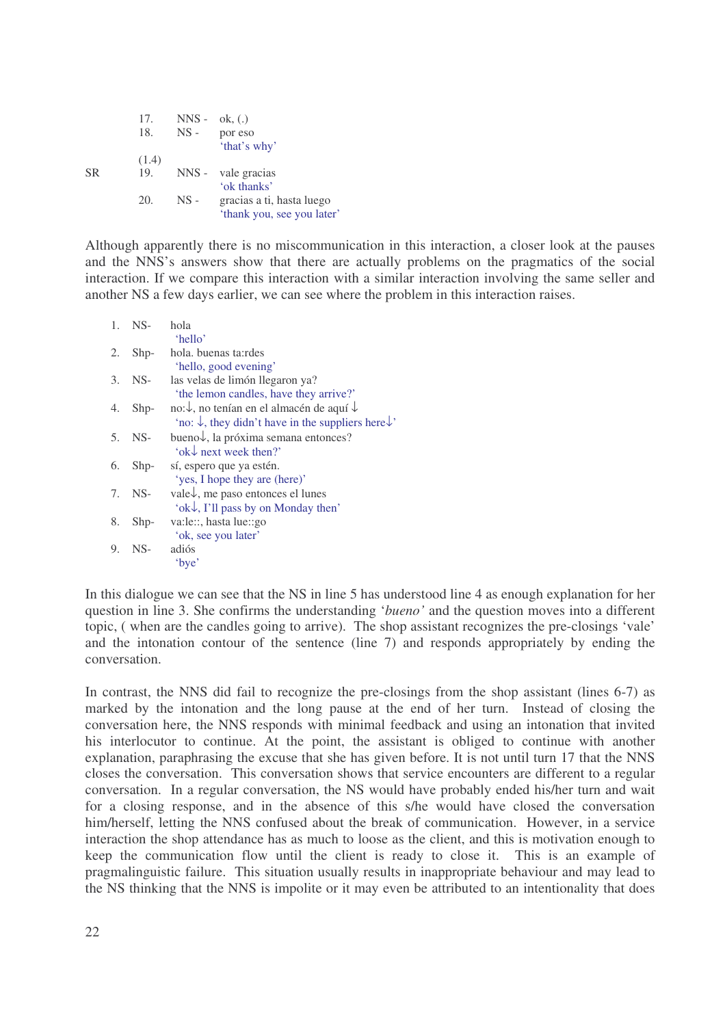|           | 17.<br>18. | $NNS -$<br>$NS -$ | $\alpha$ (.)<br>por eso    |
|-----------|------------|-------------------|----------------------------|
|           |            |                   | 'that's why'               |
|           | (1.4)      |                   |                            |
| <b>SR</b> | 19.        |                   | NNS - vale gracias         |
|           |            |                   | 'ok thanks'                |
|           | 20.        | $NS -$            | gracias a ti, hasta luego  |
|           |            |                   | 'thank you, see you later' |

Although apparently there is no miscommunication in this interaction, a closer look at the pauses and the NNS's answers show that there are actually problems on the pragmatics of the social interaction. If we compare this interaction with a similar interaction involving the same seller and another NS a few days earlier, we can see where the problem in this interaction raises.

| $\mathbf{1}_{\cdot}$ | $NS-$  | hola                                                                      |
|----------------------|--------|---------------------------------------------------------------------------|
|                      |        | 'hello'                                                                   |
| 2.                   | $Shp-$ | hola. buenas ta:rdes                                                      |
|                      |        | 'hello, good evening'                                                     |
| 3.                   | $NS-$  | las velas de limón llegaron ya?                                           |
|                      |        | 'the lemon candles, have they arrive?'                                    |
| 4.                   | $Shp-$ | no: ↓, no tenían en el almacén de aquí ↓                                  |
|                      |        | 'no: $\downarrow$ , they didn't have in the suppliers here $\downarrow$ ' |
| 5.                   | $NS-$  | bueno $\downarrow$ , la próxima semana entonces?                          |
|                      |        | 'ok $\downarrow$ next week then?'                                         |
| 6.                   | $Shp-$ | sí, espero que ya estén.                                                  |
|                      |        | 'yes, I hope they are (here)'                                             |
| 7.                   | NS-    | vale↓, me paso entonces el lunes                                          |
|                      |        | 'ok $\downarrow$ , I'll pass by on Monday then'                           |
| 8.                   | $Shp-$ | va:le::, hasta lue::go                                                    |
|                      |        | 'ok, see you later'                                                       |
| 9.                   | $NS-$  | adiós                                                                     |
|                      |        | 'bye'                                                                     |
|                      |        |                                                                           |

In this dialogue we can see that the NS in line 5 has understood line 4 as enough explanation for her question in line 3. She confirms the understanding '*bueno'* and the question moves into a different topic, ( when are the candles going to arrive). The shop assistant recognizes the pre-closings 'vale' and the intonation contour of the sentence (line 7) and responds appropriately by ending the conversation.

In contrast, the NNS did fail to recognize the pre-closings from the shop assistant (lines 6-7) as marked by the intonation and the long pause at the end of her turn. Instead of closing the conversation here, the NNS responds with minimal feedback and using an intonation that invited his interlocutor to continue. At the point, the assistant is obliged to continue with another explanation, paraphrasing the excuse that she has given before. It is not until turn 17 that the NNS closes the conversation. This conversation shows that service encounters are different to a regular conversation. In a regular conversation, the NS would have probably ended his/her turn and wait for a closing response, and in the absence of this s/he would have closed the conversation him/herself, letting the NNS confused about the break of communication. However, in a service interaction the shop attendance has as much to loose as the client, and this is motivation enough to keep the communication flow until the client is ready to close it. This is an example of pragmalinguistic failure. This situation usually results in inappropriate behaviour and may lead to the NS thinking that the NNS is impolite or it may even be attributed to an intentionality that does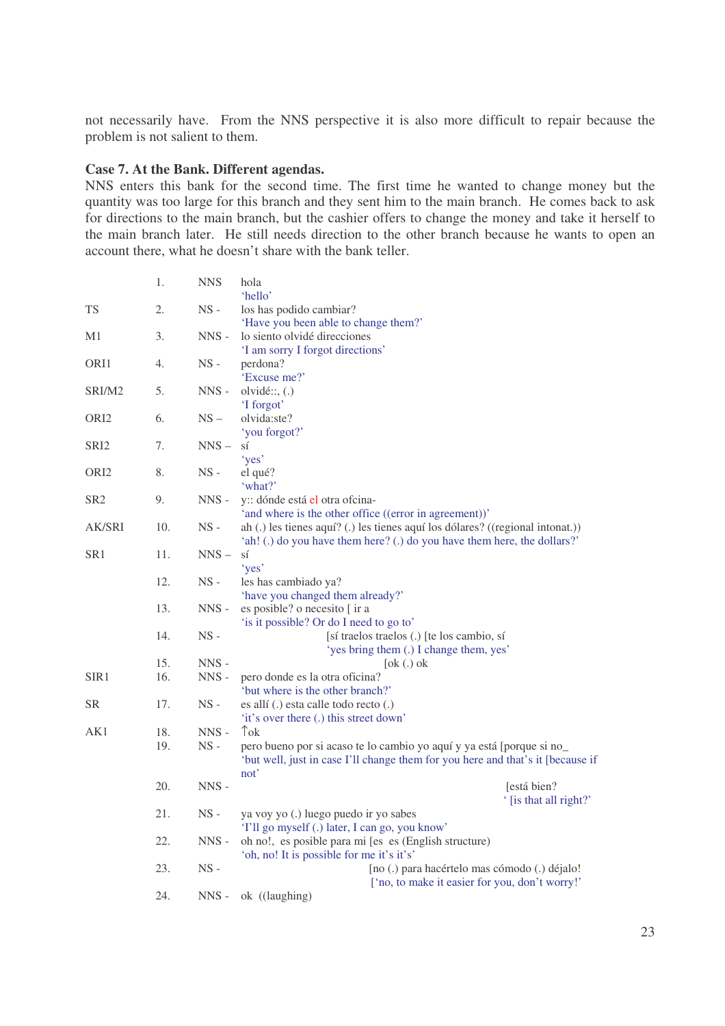not necessarily have. From the NNS perspective it is also more difficult to repair because the problem is not salient to them.

# **Case 7. At the Bank. Different agendas.**

NNS enters this bank for the second time. The first time he wanted to change money but the quantity was too large for this branch and they sent him to the main branch. He comes back to ask for directions to the main branch, but the cashier offers to change the money and take it herself to the main branch later. He still needs direction to the other branch because he wants to open an account there, what he doesn't share with the bank teller.

|                  | 1.  | <b>NNS</b>    | hola<br>'hello'                                                                 |
|------------------|-----|---------------|---------------------------------------------------------------------------------|
| TS               | 2.  | $NS -$        | los has podido cambiar?                                                         |
|                  |     |               | 'Have you been able to change them?'                                            |
| M1               | 3.  | NNS -         | lo siento olvidé direcciones                                                    |
|                  |     |               | 'I am sorry I forgot directions'                                                |
| ORI1             | 4.  | $NS -$        | perdona?                                                                        |
|                  |     |               | 'Excuse me?'                                                                    |
| SRI/M2           | 5.  | $NNS -$       | olvidé::, (.)                                                                   |
|                  |     |               | 'I forgot'                                                                      |
| ORI <sub>2</sub> | 6.  | $NS -$        | olvida:ste?                                                                     |
|                  |     |               | 'you forgot?'                                                                   |
| SRI <sub>2</sub> | 7.  | $NNS -$       | SÍ                                                                              |
|                  |     |               | 'yes'                                                                           |
| ORI <sub>2</sub> | 8.  | $NS -$        | el qué?                                                                         |
|                  |     |               | 'what?'                                                                         |
| SR <sub>2</sub>  | 9.  | $NNS -$       | y: dónde está el otra ofcina-                                                   |
|                  |     |               | 'and where is the other office ((error in agreement))'                          |
| AK/SRI           | 10. | $NS -$        | ah (.) les tienes aquí? (.) les tienes aquí los dólares? ((regional intonat.))  |
|                  |     |               | 'ah! (.) do you have them here? (.) do you have them here, the dollars?'        |
| SR <sub>1</sub>  | 11. | $NNS-$        | sí                                                                              |
|                  |     | $_{\rm NS}$ - | 'yes'                                                                           |
|                  | 12. |               | les has cambiado ya?                                                            |
|                  | 13. | $NNS -$       | 'have you changed them already?'<br>es posible? o necesito [ ir a               |
|                  |     |               | 'is it possible? Or do I need to go to'                                         |
|                  | 14. | $NS -$        | [sí traelos traelos (.) [te los cambio, sí                                      |
|                  |     |               | 'yes bring them (.) I change them, yes'                                         |
|                  | 15. | NNS-          | $[ok(.)$ ok                                                                     |
| SIR1             | 16. | $NNS -$       | pero donde es la otra oficina?                                                  |
|                  |     |               | 'but where is the other branch?'                                                |
| SR               | 17. | $NS -$        | es allí (.) esta calle todo recto (.)                                           |
|                  |     |               | 'it's over there (.) this street down'                                          |
| AK1              | 18. | $NNS -$       | $\uparrow$ <sub>ok</sub>                                                        |
|                  | 19. | $NS -$        | pero bueno por si acaso te lo cambio yo aquí y ya está [porque si no_           |
|                  |     |               | 'but well, just in case I'll change them for you here and that's it [because if |
|                  |     |               | not'                                                                            |
|                  | 20. | $NNS -$       | [está bien?                                                                     |
|                  |     |               | ' [is that all right?'                                                          |
|                  | 21. | $NS -$        | ya voy yo (.) luego puedo ir yo sabes                                           |
|                  |     |               | 'I'll go myself (.) later, I can go, you know'                                  |
|                  | 22. | $NNS -$       | oh no!, es posible para mi [es es (English structure)                           |
|                  |     |               | 'oh, no! It is possible for me it's it's'                                       |
|                  | 23. | $NS -$        | [no (.) para hacértelo mas cómodo (.) déjalo!                                   |
|                  |     |               | ['no, to make it easier for you, don't worry!'                                  |
|                  | 24. | $NNS -$       | ok ((laughing)                                                                  |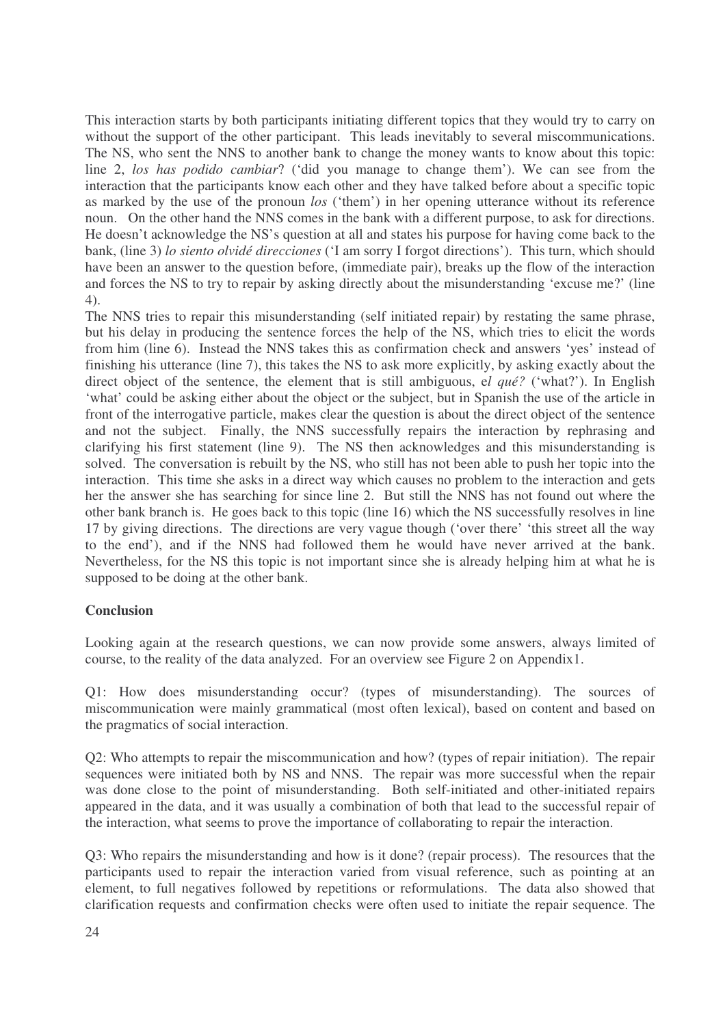This interaction starts by both participants initiating different topics that they would try to carry on without the support of the other participant. This leads inevitably to several miscommunications. The NS, who sent the NNS to another bank to change the money wants to know about this topic: line 2, *los has podido cambiar*? ('did you manage to change them'). We can see from the interaction that the participants know each other and they have talked before about a specific topic as marked by the use of the pronoun *los* ('them') in her opening utterance without its reference noun. On the other hand the NNS comes in the bank with a different purpose, to ask for directions. He doesn't acknowledge the NS's question at all and states his purpose for having come back to the bank, (line 3) *lo siento olvidé direcciones* ('I am sorry I forgot directions'). This turn, which should have been an answer to the question before, (immediate pair), breaks up the flow of the interaction and forces the NS to try to repair by asking directly about the misunderstanding 'excuse me?' (line 4).

The NNS tries to repair this misunderstanding (self initiated repair) by restating the same phrase, but his delay in producing the sentence forces the help of the NS, which tries to elicit the words from him (line 6). Instead the NNS takes this as confirmation check and answers 'yes' instead of finishing his utterance (line 7), this takes the NS to ask more explicitly, by asking exactly about the direct object of the sentence, the element that is still ambiguous, e*l qué?* ('what?'). In English 'what' could be asking either about the object or the subject, but in Spanish the use of the article in front of the interrogative particle, makes clear the question is about the direct object of the sentence and not the subject. Finally, the NNS successfully repairs the interaction by rephrasing and clarifying his first statement (line 9). The NS then acknowledges and this misunderstanding is solved. The conversation is rebuilt by the NS, who still has not been able to push her topic into the interaction. This time she asks in a direct way which causes no problem to the interaction and gets her the answer she has searching for since line 2. But still the NNS has not found out where the other bank branch is. He goes back to this topic (line 16) which the NS successfully resolves in line 17 by giving directions. The directions are very vague though ('over there' 'this street all the way to the end'), and if the NNS had followed them he would have never arrived at the bank. Nevertheless, for the NS this topic is not important since she is already helping him at what he is supposed to be doing at the other bank.

# **Conclusion**

Looking again at the research questions, we can now provide some answers, always limited of course, to the reality of the data analyzed. For an overview see Figure 2 on Appendix1.

Q1: How does misunderstanding occur? (types of misunderstanding). The sources of miscommunication were mainly grammatical (most often lexical), based on content and based on the pragmatics of social interaction.

Q2: Who attempts to repair the miscommunication and how? (types of repair initiation). The repair sequences were initiated both by NS and NNS. The repair was more successful when the repair was done close to the point of misunderstanding. Both self-initiated and other-initiated repairs appeared in the data, and it was usually a combination of both that lead to the successful repair of the interaction, what seems to prove the importance of collaborating to repair the interaction.

Q3: Who repairs the misunderstanding and how is it done? (repair process). The resources that the participants used to repair the interaction varied from visual reference, such as pointing at an element, to full negatives followed by repetitions or reformulations. The data also showed that clarification requests and confirmation checks were often used to initiate the repair sequence. The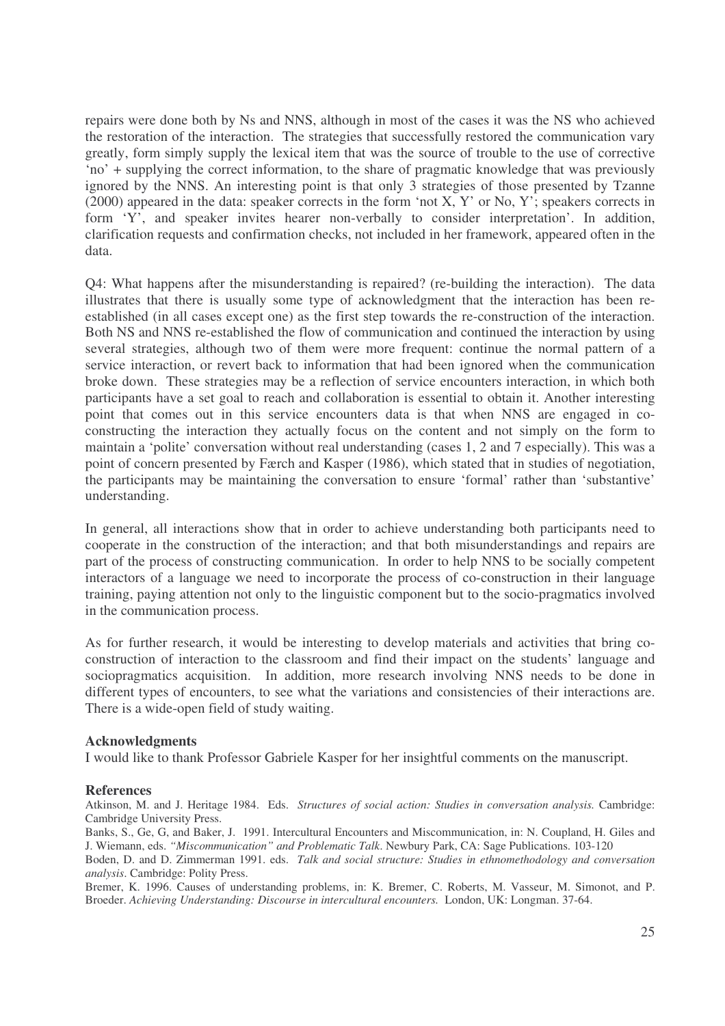repairs were done both by Ns and NNS, although in most of the cases it was the NS who achieved the restoration of the interaction. The strategies that successfully restored the communication vary greatly, form simply supply the lexical item that was the source of trouble to the use of corrective 'no' + supplying the correct information, to the share of pragmatic knowledge that was previously ignored by the NNS. An interesting point is that only 3 strategies of those presented by Tzanne (2000) appeared in the data: speaker corrects in the form 'not X, Y' or No, Y'; speakers corrects in form 'Y', and speaker invites hearer non-verbally to consider interpretation'. In addition, clarification requests and confirmation checks, not included in her framework, appeared often in the data.

Q4: What happens after the misunderstanding is repaired? (re-building the interaction). The data illustrates that there is usually some type of acknowledgment that the interaction has been reestablished (in all cases except one) as the first step towards the re-construction of the interaction. Both NS and NNS re-established the flow of communication and continued the interaction by using several strategies, although two of them were more frequent: continue the normal pattern of a service interaction, or revert back to information that had been ignored when the communication broke down. These strategies may be a reflection of service encounters interaction, in which both participants have a set goal to reach and collaboration is essential to obtain it. Another interesting point that comes out in this service encounters data is that when NNS are engaged in coconstructing the interaction they actually focus on the content and not simply on the form to maintain a 'polite' conversation without real understanding (cases 1, 2 and 7 especially). This was a point of concern presented by Færch and Kasper (1986), which stated that in studies of negotiation, the participants may be maintaining the conversation to ensure 'formal' rather than 'substantive' understanding.

In general, all interactions show that in order to achieve understanding both participants need to cooperate in the construction of the interaction; and that both misunderstandings and repairs are part of the process of constructing communication. In order to help NNS to be socially competent interactors of a language we need to incorporate the process of co-construction in their language training, paying attention not only to the linguistic component but to the socio-pragmatics involved in the communication process.

As for further research, it would be interesting to develop materials and activities that bring coconstruction of interaction to the classroom and find their impact on the students' language and sociopragmatics acquisition. In addition, more research involving NNS needs to be done in different types of encounters, to see what the variations and consistencies of their interactions are. There is a wide-open field of study waiting.

## **Acknowledgments**

I would like to thank Professor Gabriele Kasper for her insightful comments on the manuscript.

#### **References**

Atkinson, M. and J. Heritage 1984. Eds. *Structures of social action: Studies in conversation analysis.* Cambridge: Cambridge University Press.

Banks, S., Ge, G, and Baker, J. 1991. Intercultural Encounters and Miscommunication, in: N. Coupland, H. Giles and J. Wiemann, eds. *"Miscommunication" and Problematic Talk*. Newbury Park, CA: Sage Publications. 103-120

Boden, D. and D. Zimmerman 1991. eds. *Talk and social structure: Studies in ethnomethodology and conversation analysis*. Cambridge: Polity Press.

Bremer, K. 1996. Causes of understanding problems, in: K. Bremer, C. Roberts, M. Vasseur, M. Simonot, and P. Broeder. *Achieving Understanding: Discourse in intercultural encounters.* London, UK: Longman. 37-64.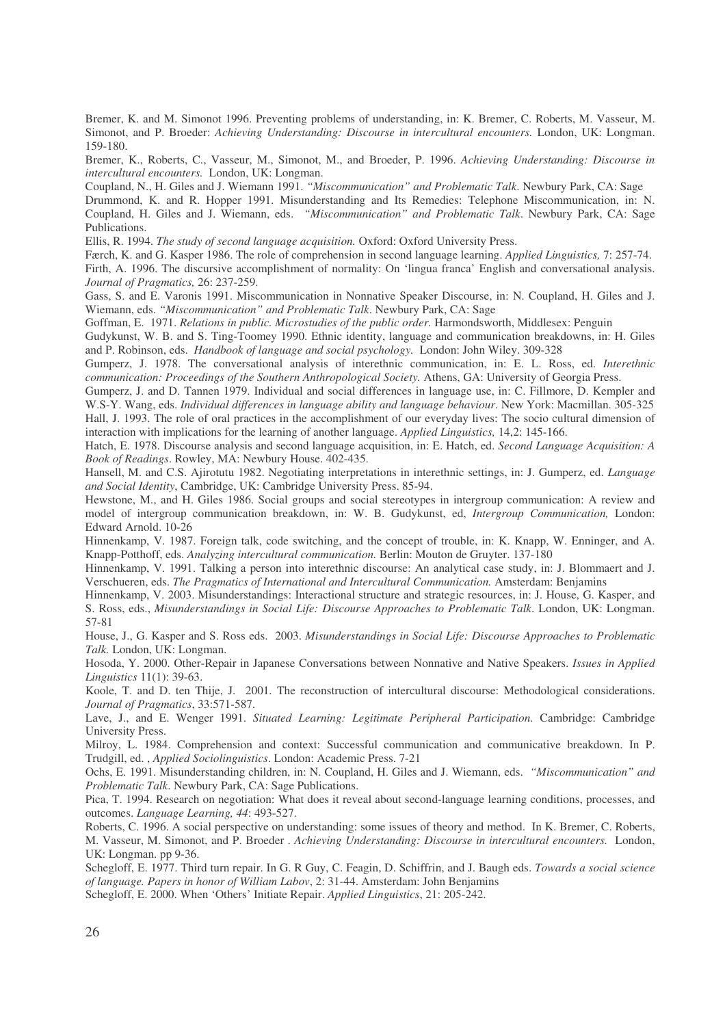Bremer, K. and M. Simonot 1996. Preventing problems of understanding, in: K. Bremer, C. Roberts, M. Vasseur, M. Simonot, and P. Broeder: *Achieving Understanding: Discourse in intercultural encounters.* London, UK: Longman. 159-180.

Bremer, K., Roberts, C., Vasseur, M., Simonot, M., and Broeder, P. 1996. *Achieving Understanding: Discourse in intercultural encounters.* London, UK: Longman.

Coupland, N., H. Giles and J. Wiemann 1991. *"Miscommunication" and Problematic Talk*. Newbury Park, CA: Sage Drummond, K. and R. Hopper 1991. Misunderstanding and Its Remedies: Telephone Miscommunication, in: N. Coupland, H. Giles and J. Wiemann, eds. *"Miscommunication" and Problematic Talk*. Newbury Park, CA: Sage Publications.

Ellis, R. 1994. *The study of second language acquisition.* Oxford: Oxford University Press.

Færch, K. and G. Kasper 1986. The role of comprehension in second language learning. *Applied Linguistics,* 7: 257-74. Firth, A. 1996. The discursive accomplishment of normality: On 'lingua franca' English and conversational analysis. *Journal of Pragmatics,* 26: 237-259.

Gass, S. and E. Varonis 1991. Miscommunication in Nonnative Speaker Discourse, in: N. Coupland, H. Giles and J. Wiemann, eds. *"Miscommunication" and Problematic Talk*. Newbury Park, CA: Sage

Goffman, E. 1971. *Relations in public. Microstudies of the public order.* Harmondsworth, Middlesex: Penguin

Gudykunst, W. B. and S. Ting-Toomey 1990. Ethnic identity, language and communication breakdowns, in: H. Giles and P. Robinson, eds. *Handbook of language and social psychology.* London: John Wiley. 309-328

Gumperz, J. 1978. The conversational analysis of interethnic communication, in: E. L. Ross, ed. *Interethnic communication: Proceedings of the Southern Anthropological Society.* Athens, GA: University of Georgia Press.

Gumperz, J. and D. Tannen 1979. Individual and social differences in language use, in: C. Fillmore, D. Kempler and W.S-Y. Wang, eds. *Individual differences in language ability and language behaviour*. New York: Macmillan. 305-325 Hall, J. 1993. The role of oral practices in the accomplishment of our everyday lives: The socio cultural dimension of interaction with implications for the learning of another language. *Applied Linguistics,* 14,2: 145-166.

Hatch, E. 1978. Discourse analysis and second language acquisition, in: E. Hatch, ed. *Second Language Acquisition: A Book of Readings*. Rowley, MA: Newbury House. 402-435.

Hansell, M. and C.S. Ajirotutu 1982. Negotiating interpretations in interethnic settings, in: J. Gumperz, ed. *Language and Social Identity*, Cambridge, UK: Cambridge University Press. 85-94.

Hewstone, M., and H. Giles 1986. Social groups and social stereotypes in intergroup communication: A review and model of intergroup communication breakdown, in: W. B. Gudykunst, ed, *Intergroup Communication,* London: Edward Arnold. 10-26

Hinnenkamp, V. 1987. Foreign talk, code switching, and the concept of trouble, in: K. Knapp, W. Enninger, and A. Knapp-Potthoff, eds. *Analyzing intercultural communication.* Berlin: Mouton de Gruyter. 137-180

Hinnenkamp, V. 1991. Talking a person into interethnic discourse: An analytical case study, in: J. Blommaert and J. Verschueren, eds. *The Pragmatics of International and Intercultural Communication.* Amsterdam: Benjamins

Hinnenkamp, V. 2003. Misunderstandings: Interactional structure and strategic resources, in: J. House, G. Kasper, and S. Ross, eds., *Misunderstandings in Social Life: Discourse Approaches to Problematic Talk*. London, UK: Longman. 57-81

House, J., G. Kasper and S. Ross eds. 2003. *Misunderstandings in Social Life: Discourse Approaches to Problematic Talk.* London, UK: Longman.

Hosoda, Y. 2000. Other-Repair in Japanese Conversations between Nonnative and Native Speakers. *Issues in Applied Linguistics* 11(1): 39-63.

Koole, T. and D. ten Thije, J. 2001. The reconstruction of intercultural discourse: Methodological considerations. *Journal of Pragmatics*, 33:571-587.

Lave, J., and E. Wenger 1991. *Situated Learning: Legitimate Peripheral Participation.* Cambridge: Cambridge University Press.

Milroy, L. 1984. Comprehension and context: Successful communication and communicative breakdown. In P. Trudgill, ed. , *Applied Sociolinguistics*. London: Academic Press. 7-21

Ochs, E. 1991. Misunderstanding children, in: N. Coupland, H. Giles and J. Wiemann, eds. *"Miscommunication" and Problematic Talk*. Newbury Park, CA: Sage Publications.

Pica, T. 1994. Research on negotiation: What does it reveal about second-language learning conditions, processes, and outcomes. *Language Learning, 44*: 493-527.

Roberts, C. 1996. A social perspective on understanding: some issues of theory and method. In K. Bremer, C. Roberts, M. Vasseur, M. Simonot, and P. Broeder . *Achieving Understanding: Discourse in intercultural encounters.* London, UK: Longman. pp 9-36.

Schegloff, E. 1977. Third turn repair. In G. R Guy, C. Feagin, D. Schiffrin, and J. Baugh eds. *Towards a social science of language. Papers in honor of William Labov*, 2: 31-44. Amsterdam: John Benjamins

Schegloff, E. 2000. When 'Others' Initiate Repair. *Applied Linguistics*, 21: 205-242.